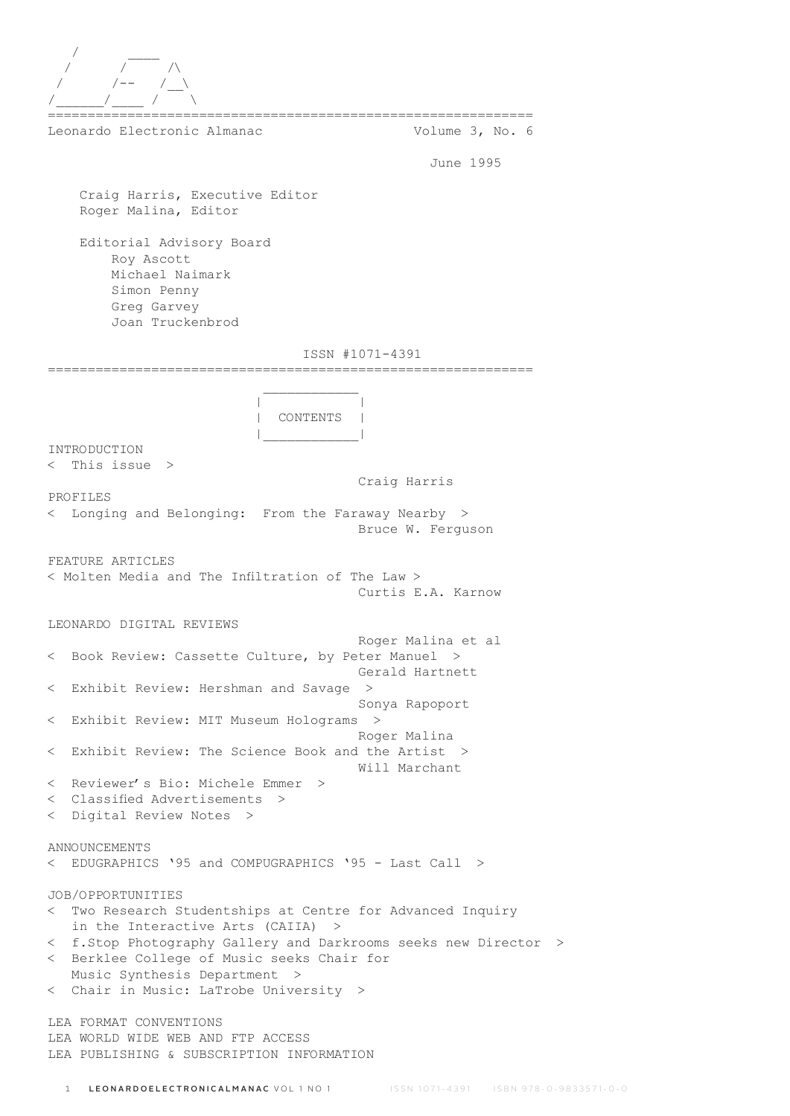

============================================================= Leonardo Electronic Almanac Volume 3, No. 6

June 1995

 Craig Harris, Executive Editor Roger Malina, Editor

 Editorial Advisory Board Roy Ascott Michael Naimark Simon Penny Greg Garvey Joan Truckenbrod

# ISSN #1071-4391

=============================================================  $\mathcal{L}_\text{max}$  and  $\mathcal{L}_\text{max}$  and  $\mathcal{L}_\text{max}$  and  $\mathcal{L}_\text{max}$  | | | CONTENTS | |\_\_\_\_\_\_\_\_\_\_\_\_| INTRODUCTION < This issue > Craig Harris PROFILES < Longing and Belonging: From the Faraway Nearby > Bruce W. Ferguson FEATURE ARTICLES < Molten Media and The Infiltration of The Law > Curtis E.A. Karnow LEONARDO DIGITAL REVIEWS Roger Malina et al < Book Review: Cassette Culture, by Peter Manuel > Gerald Hartnett < Exhibit Review: Hershman and Savage > Sonya Rapoport < Exhibit Review: MIT Museum Holograms > Roger Malina < Exhibit Review: The Science Book and the Artist > Will Marchant < Reviewer's Bio: Michele Emmer > < Classified Advertisements > < Digital Review Notes > ANNOUNCEMENTS < EDUGRAPHICS '95 and COMPUGRAPHICS '95 - Last Call > JOB/OPPORTUNITIES < Two Research Studentships at Centre for Advanced Inquiry in the Interactive Arts (CAIIA) > < f.Stop Photography Gallery and Darkrooms seeks new Director > < Berklee College of Music seeks Chair for Music Synthesis Department > < Chair in Music: LaTrobe University > LEA FORMAT CONVENTIONS LEA WORLD WIDE WEB AND FTP ACCESS LEA PUBLISHING & SUBSCRIPTION INFORMATION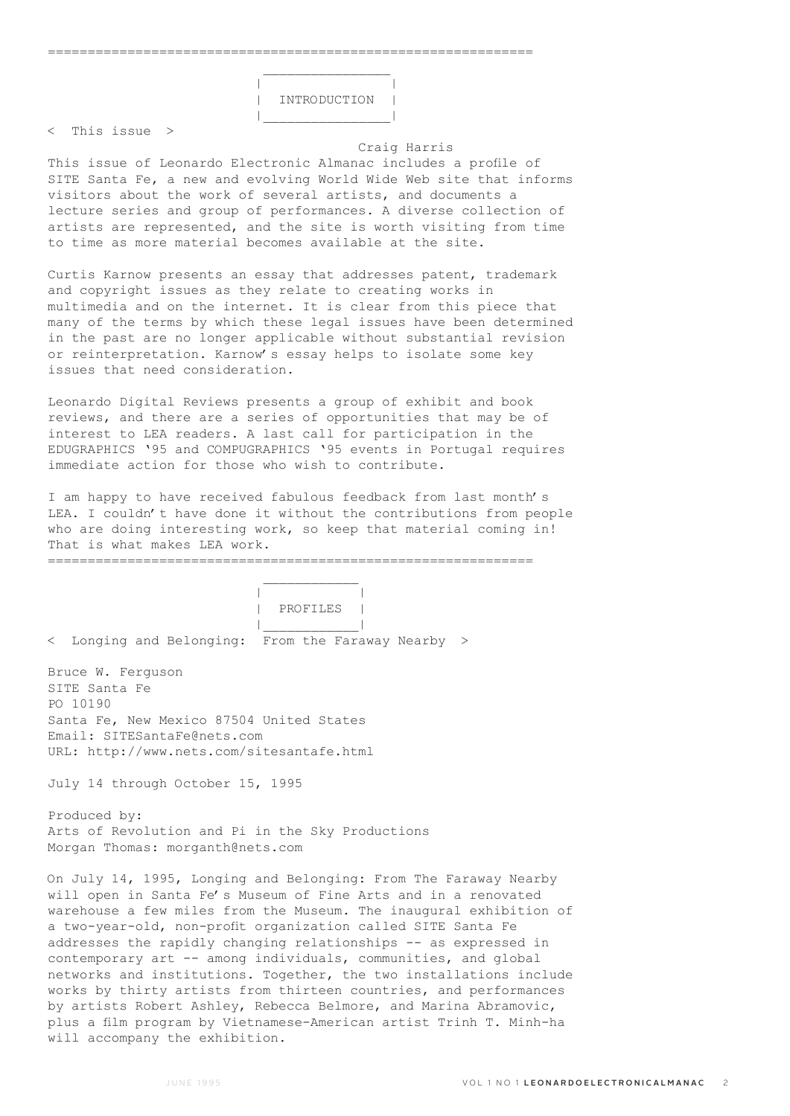$\mathcal{L}_\text{max}$  and  $\mathcal{L}_\text{max}$  are the set of  $\mathcal{L}_\text{max}$  . The set of  $\mathcal{L}_\text{max}$ 

 | | | INTRODUCTION | |\_\_\_\_\_\_\_\_\_\_\_\_\_\_\_\_|

< This issue >

#### Craig Harris

This issue of Leonardo Electronic Almanac includes a profile of SITE Santa Fe, a new and evolving World Wide Web site that informs visitors about the work of several artists, and documents a lecture series and group of performances. A diverse collection of artists are represented, and the site is worth visiting from time to time as more material becomes available at the site.

Curtis Karnow presents an essay that addresses patent, trademark and copyright issues as they relate to creating works in multimedia and on the internet. It is clear from this piece that many of the terms by which these legal issues have been determined in the past are no longer applicable without substantial revision or reinterpretation. Karnow's essay helps to isolate some key issues that need consideration.

Leonardo Digital Reviews presents a group of exhibit and book reviews, and there are a series of opportunities that may be of interest to LEA readers. A last call for participation in the EDUGRAPHICS '95 and COMPUGRAPHICS '95 events in Portugal requires immediate action for those who wish to contribute.

I am happy to have received fabulous feedback from last month's LEA. I couldn't have done it without the contributions from people who are doing interesting work, so keep that material coming in! That is what makes LEA work.

=============================================================

 $\mathcal{L}_\text{max}$  and  $\mathcal{L}_\text{max}$  and  $\mathcal{L}_\text{max}$  and  $\mathcal{L}_\text{max}$  | | | PROFILES | |\_\_\_\_\_\_\_\_\_\_\_\_|

< Longing and Belonging: From the Faraway Nearby >

Bruce W. Ferguson SITE Santa Fe PO 10190 Santa Fe, New Mexico 87504 United States Email: SITESantaFe@nets.com URL: http://www.nets.com/sitesantafe.html

July 14 through October 15, 1995

Produced by: Arts of Revolution and Pi in the Sky Productions Morgan Thomas: morganth@nets.com

On July 14, 1995, Longing and Belonging: From The Faraway Nearby will open in Santa Fe's Museum of Fine Arts and in a renovated warehouse a few miles from the Museum. The inaugural exhibition of a two-year-old, non-profit organization called SITE Santa Fe addresses the rapidly changing relationships -- as expressed in contemporary art -- among individuals, communities, and global networks and institutions. Together, the two installations include works by thirty artists from thirteen countries, and performances by artists Robert Ashley, Rebecca Belmore, and Marina Abramovic, plus a film program by Vietnamese-American artist Trinh T. Minh-ha will accompany the exhibition.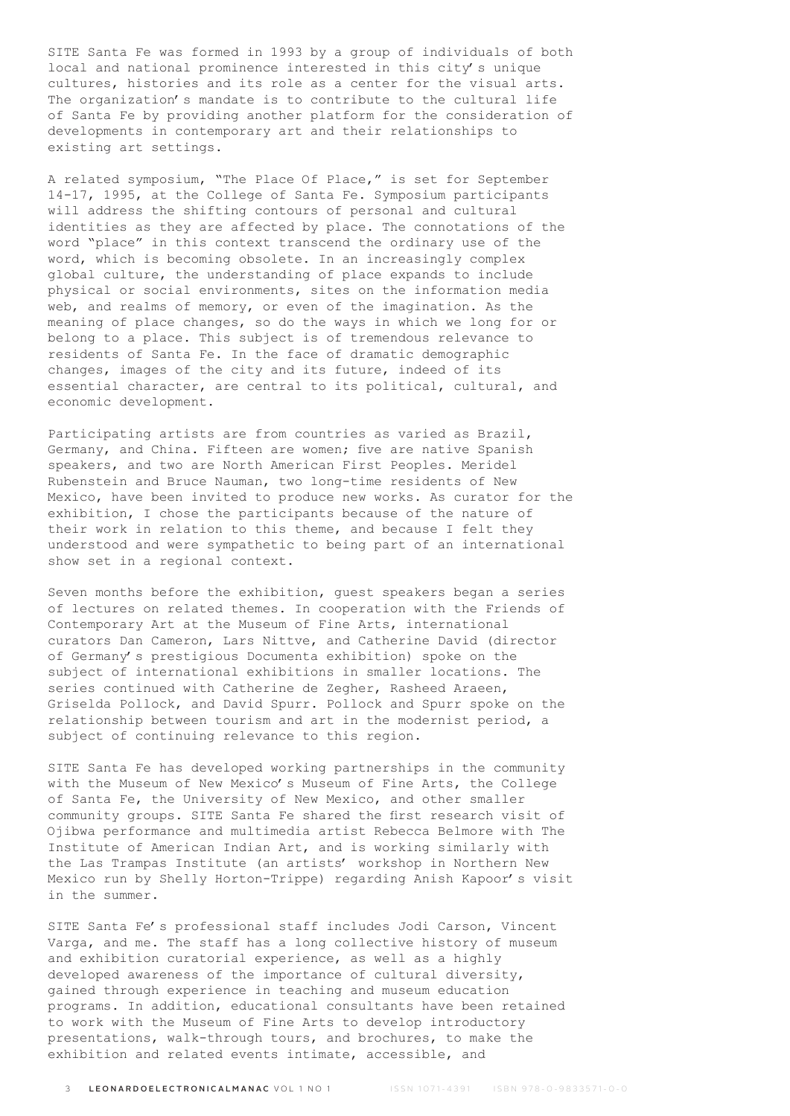SITE Santa Fe was formed in 1993 by a group of individuals of both local and national prominence interested in this city's unique cultures, histories and its role as a center for the visual arts. The organization's mandate is to contribute to the cultural life of Santa Fe by providing another platform for the consideration of developments in contemporary art and their relationships to existing art settings.

A related symposium, "The Place Of Place," is set for September 14-17, 1995, at the College of Santa Fe. Symposium participants will address the shifting contours of personal and cultural identities as they are affected by place. The connotations of the word "place" in this context transcend the ordinary use of the word, which is becoming obsolete. In an increasingly complex global culture, the understanding of place expands to include physical or social environments, sites on the information media web, and realms of memory, or even of the imagination. As the meaning of place changes, so do the ways in which we long for or belong to a place. This subject is of tremendous relevance to residents of Santa Fe. In the face of dramatic demographic changes, images of the city and its future, indeed of its essential character, are central to its political, cultural, and economic development.

Participating artists are from countries as varied as Brazil, Germany, and China. Fifteen are women; five are native Spanish speakers, and two are North American First Peoples. Meridel Rubenstein and Bruce Nauman, two long-time residents of New Mexico, have been invited to produce new works. As curator for the exhibition, I chose the participants because of the nature of their work in relation to this theme, and because I felt they understood and were sympathetic to being part of an international show set in a regional context.

Seven months before the exhibition, guest speakers began a series of lectures on related themes. In cooperation with the Friends of Contemporary Art at the Museum of Fine Arts, international curators Dan Cameron, Lars Nittve, and Catherine David (director of Germany's prestigious Documenta exhibition) spoke on the subject of international exhibitions in smaller locations. The series continued with Catherine de Zegher, Rasheed Araeen, Griselda Pollock, and David Spurr. Pollock and Spurr spoke on the relationship between tourism and art in the modernist period, a subject of continuing relevance to this region.

SITE Santa Fe has developed working partnerships in the community with the Museum of New Mexico's Museum of Fine Arts, the College of Santa Fe, the University of New Mexico, and other smaller community groups. SITE Santa Fe shared the first research visit of Ojibwa performance and multimedia artist Rebecca Belmore with The Institute of American Indian Art, and is working similarly with the Las Trampas Institute (an artists' workshop in Northern New Mexico run by Shelly Horton-Trippe) regarding Anish Kapoor's visit in the summer.

SITE Santa Fe's professional staff includes Jodi Carson, Vincent Varga, and me. The staff has a long collective history of museum and exhibition curatorial experience, as well as a highly developed awareness of the importance of cultural diversity, gained through experience in teaching and museum education programs. In addition, educational consultants have been retained to work with the Museum of Fine Arts to develop introductory presentations, walk-through tours, and brochures, to make the exhibition and related events intimate, accessible, and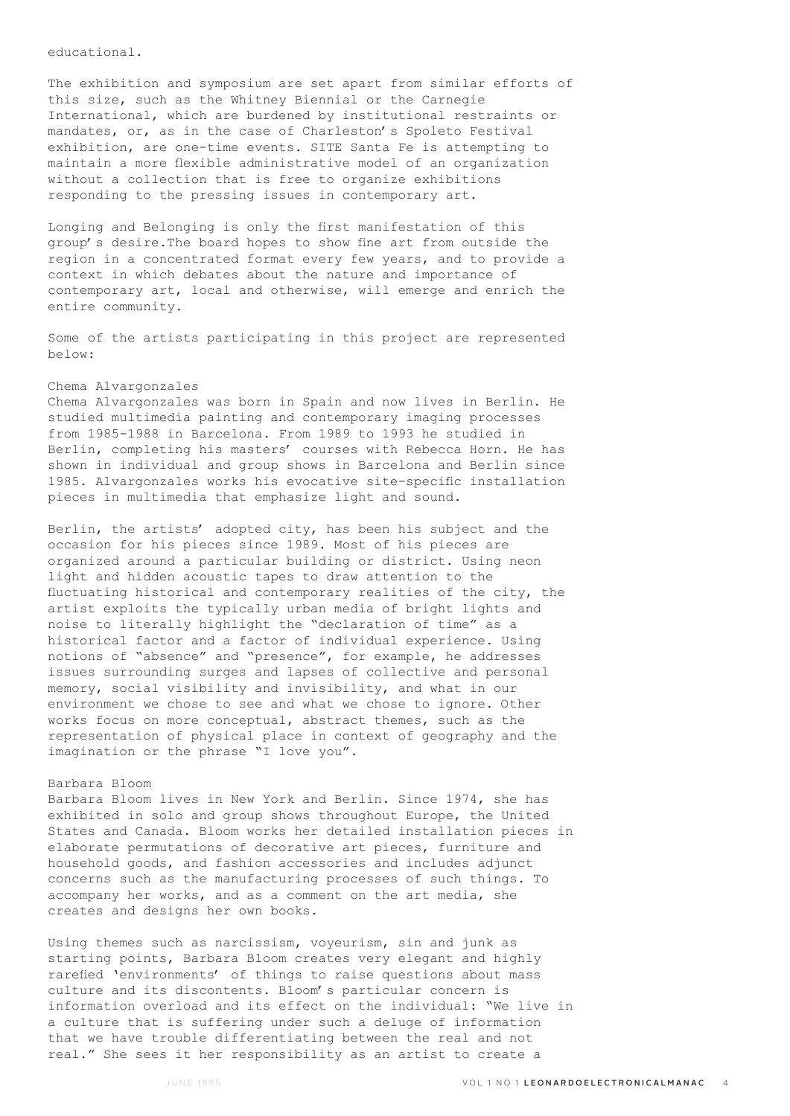educational.

The exhibition and symposium are set apart from similar efforts of this size, such as the Whitney Biennial or the Carnegie International, which are burdened by institutional restraints or mandates, or, as in the case of Charleston's Spoleto Festival exhibition, are one-time events. SITE Santa Fe is attempting to maintain a more flexible administrative model of an organization without a collection that is free to organize exhibitions responding to the pressing issues in contemporary art.

Longing and Belonging is only the first manifestation of this group's desire.The board hopes to show fine art from outside the region in a concentrated format every few years, and to provide a context in which debates about the nature and importance of contemporary art, local and otherwise, will emerge and enrich the entire community.

Some of the artists participating in this project are represented below:

# Chema Alvargonzales

Chema Alvargonzales was born in Spain and now lives in Berlin. He studied multimedia painting and contemporary imaging processes from 1985-1988 in Barcelona. From 1989 to 1993 he studied in Berlin, completing his masters' courses with Rebecca Horn. He has shown in individual and group shows in Barcelona and Berlin since 1985. Alvargonzales works his evocative site-specific installation pieces in multimedia that emphasize light and sound.

Berlin, the artists' adopted city, has been his subject and the occasion for his pieces since 1989. Most of his pieces are organized around a particular building or district. Using neon light and hidden acoustic tapes to draw attention to the fluctuating historical and contemporary realities of the city, the artist exploits the typically urban media of bright lights and noise to literally highlight the "declaration of time" as a historical factor and a factor of individual experience. Using notions of "absence" and "presence", for example, he addresses issues surrounding surges and lapses of collective and personal memory, social visibility and invisibility, and what in our environment we chose to see and what we chose to ignore. Other works focus on more conceptual, abstract themes, such as the representation of physical place in context of geography and the imagination or the phrase "I love you".

#### Barbara Bloom

Barbara Bloom lives in New York and Berlin. Since 1974, she has exhibited in solo and group shows throughout Europe, the United States and Canada. Bloom works her detailed installation pieces in elaborate permutations of decorative art pieces, furniture and household goods, and fashion accessories and includes adjunct concerns such as the manufacturing processes of such things. To accompany her works, and as a comment on the art media, she creates and designs her own books.

Using themes such as narcissism, voyeurism, sin and junk as starting points, Barbara Bloom creates very elegant and highly rarefied 'environments' of things to raise questions about mass culture and its discontents. Bloom's particular concern is information overload and its effect on the individual: "We live in a culture that is suffering under such a deluge of information that we have trouble differentiating between the real and not real." She sees it her responsibility as an artist to create a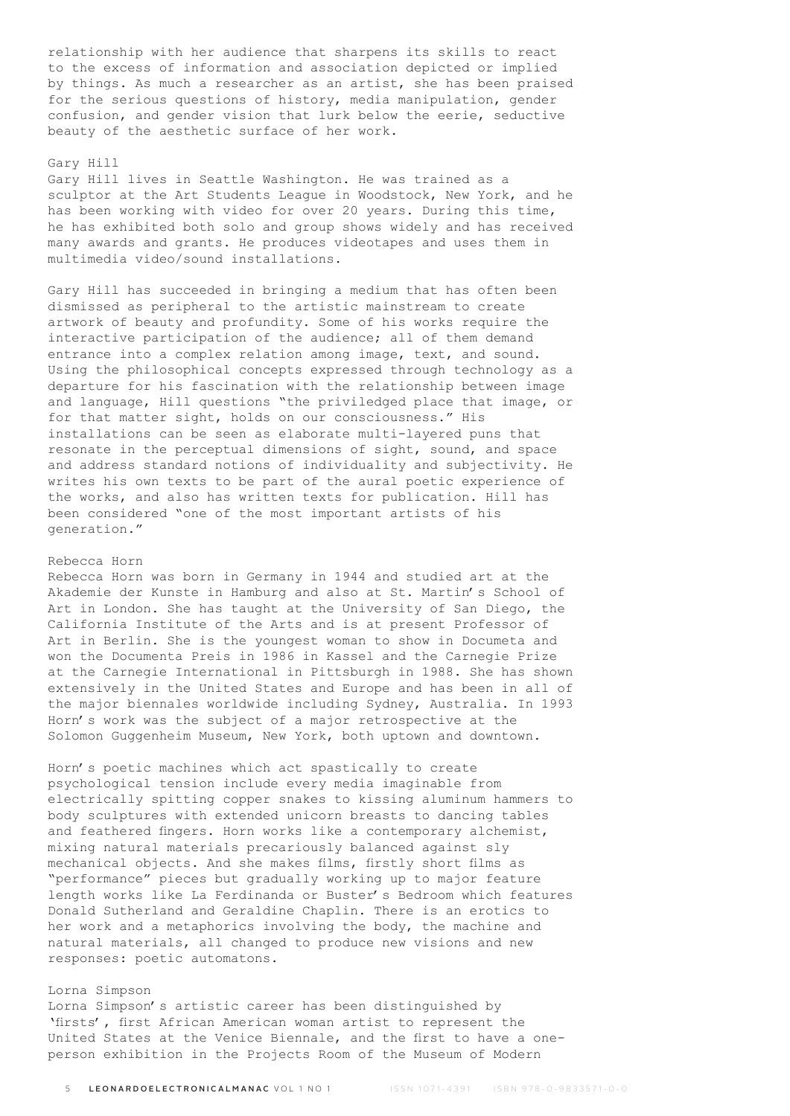relationship with her audience that sharpens its skills to react to the excess of information and association depicted or implied by things. As much a researcher as an artist, she has been praised for the serious questions of history, media manipulation, gender confusion, and gender vision that lurk below the eerie, seductive beauty of the aesthetic surface of her work.

### Gary Hill

Gary Hill lives in Seattle Washington. He was trained as a sculptor at the Art Students League in Woodstock, New York, and he has been working with video for over 20 years. During this time, he has exhibited both solo and group shows widely and has received many awards and grants. He produces videotapes and uses them in multimedia video/sound installations.

Gary Hill has succeeded in bringing a medium that has often been dismissed as peripheral to the artistic mainstream to create artwork of beauty and profundity. Some of his works require the interactive participation of the audience; all of them demand entrance into a complex relation among image, text, and sound. Using the philosophical concepts expressed through technology as a departure for his fascination with the relationship between image and language, Hill questions "the priviledged place that image, or for that matter sight, holds on our consciousness." His installations can be seen as elaborate multi-layered puns that resonate in the perceptual dimensions of sight, sound, and space and address standard notions of individuality and subjectivity. He writes his own texts to be part of the aural poetic experience of the works, and also has written texts for publication. Hill has been considered "one of the most important artists of his generation."

# Rebecca Horn

Rebecca Horn was born in Germany in 1944 and studied art at the Akademie der Kunste in Hamburg and also at St. Martin's School of Art in London. She has taught at the University of San Diego, the California Institute of the Arts and is at present Professor of Art in Berlin. She is the youngest woman to show in Documeta and won the Documenta Preis in 1986 in Kassel and the Carnegie Prize at the Carnegie International in Pittsburgh in 1988. She has shown extensively in the United States and Europe and has been in all of the major biennales worldwide including Sydney, Australia. In 1993 Horn's work was the subject of a major retrospective at the Solomon Guggenheim Museum, New York, both uptown and downtown.

Horn's poetic machines which act spastically to create psychological tension include every media imaginable from electrically spitting copper snakes to kissing aluminum hammers to body sculptures with extended unicorn breasts to dancing tables and feathered fingers. Horn works like a contemporary alchemist, mixing natural materials precariously balanced against sly mechanical objects. And she makes films, firstly short films as "performance" pieces but gradually working up to major feature length works like La Ferdinanda or Buster's Bedroom which features Donald Sutherland and Geraldine Chaplin. There is an erotics to her work and a metaphorics involving the body, the machine and natural materials, all changed to produce new visions and new responses: poetic automatons.

# Lorna Simpson

Lorna Simpson's artistic career has been distinguished by 'firsts', first African American woman artist to represent the United States at the Venice Biennale, and the first to have a oneperson exhibition in the Projects Room of the Museum of Modern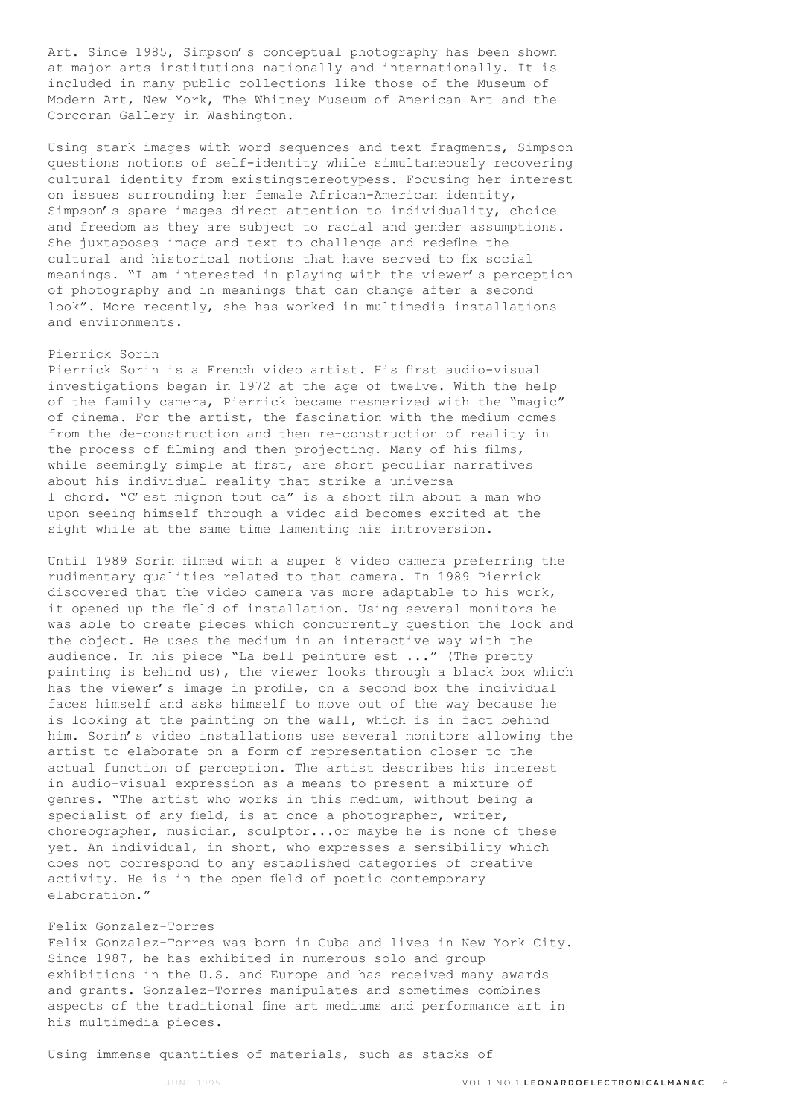Art. Since 1985, Simpson's conceptual photography has been shown at major arts institutions nationally and internationally. It is included in many public collections like those of the Museum of Modern Art, New York, The Whitney Museum of American Art and the Corcoran Gallery in Washington.

Using stark images with word sequences and text fragments, Simpson questions notions of self-identity while simultaneously recovering cultural identity from existingstereotypess. Focusing her interest on issues surrounding her female African-American identity, Simpson's spare images direct attention to individuality, choice and freedom as they are subject to racial and gender assumptions. She juxtaposes image and text to challenge and redefine the cultural and historical notions that have served to fix social meanings. "I am interested in playing with the viewer's perception of photography and in meanings that can change after a second look". More recently, she has worked in multimedia installations and environments.

# Pierrick Sorin

Pierrick Sorin is a French video artist. His first audio-visual investigations began in 1972 at the age of twelve. With the help of the family camera, Pierrick became mesmerized with the "magic" of cinema. For the artist, the fascination with the medium comes from the de-construction and then re-construction of reality in the process of filming and then projecting. Many of his films, while seemingly simple at first, are short peculiar narratives about his individual reality that strike a universa l chord. "C'est mignon tout ca" is a short film about a man who upon seeing himself through a video aid becomes excited at the sight while at the same time lamenting his introversion.

Until 1989 Sorin filmed with a super 8 video camera preferring the rudimentary qualities related to that camera. In 1989 Pierrick discovered that the video camera vas more adaptable to his work, it opened up the field of installation. Using several monitors he was able to create pieces which concurrently question the look and the object. He uses the medium in an interactive way with the audience. In his piece "La bell peinture est ..." (The pretty painting is behind us), the viewer looks through a black box which has the viewer's image in profile, on a second box the individual faces himself and asks himself to move out of the way because he is looking at the painting on the wall, which is in fact behind him. Sorin's video installations use several monitors allowing the artist to elaborate on a form of representation closer to the actual function of perception. The artist describes his interest in audio-visual expression as a means to present a mixture of genres. "The artist who works in this medium, without being a specialist of any field, is at once a photographer, writer, choreographer, musician, sculptor...or maybe he is none of these yet. An individual, in short, who expresses a sensibility which does not correspond to any established categories of creative activity. He is in the open field of poetic contemporary elaboration."

# Felix Gonzalez-Torres

Felix Gonzalez-Torres was born in Cuba and lives in New York City. Since 1987, he has exhibited in numerous solo and group exhibitions in the U.S. and Europe and has received many awards and grants. Gonzalez-Torres manipulates and sometimes combines aspects of the traditional fine art mediums and performance art in his multimedia pieces.

Using immense quantities of materials, such as stacks of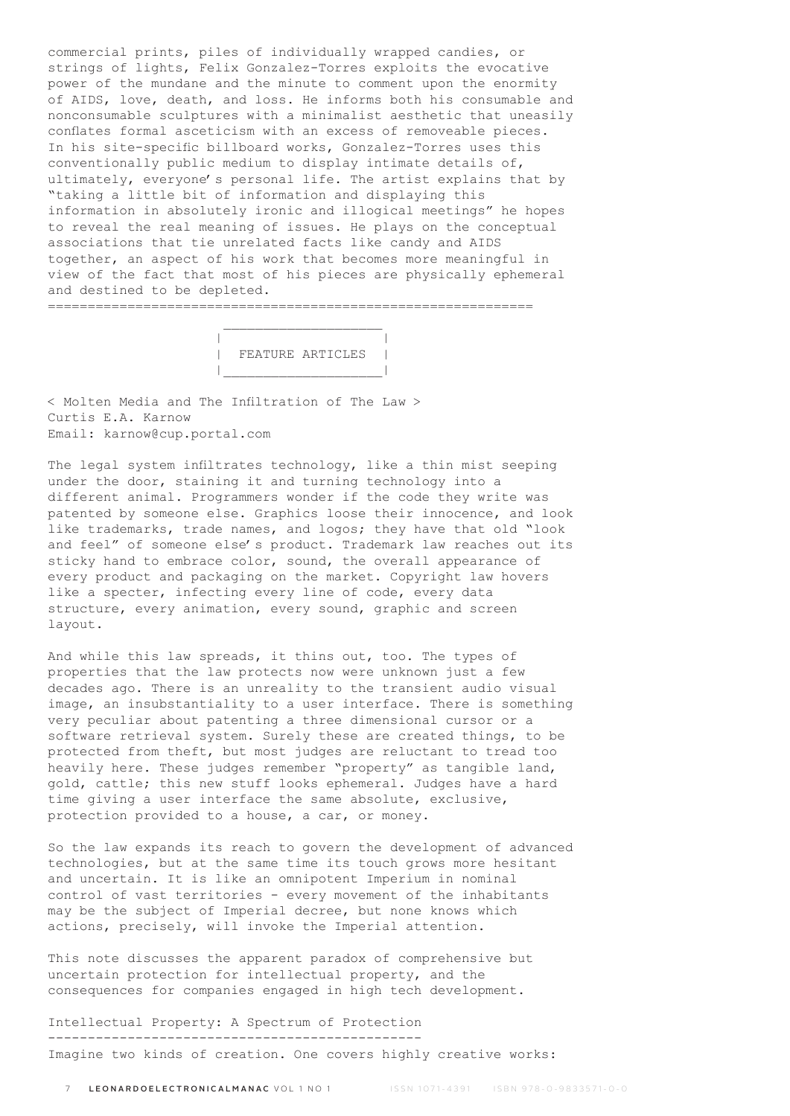commercial prints, piles of individually wrapped candies, or strings of lights, Felix Gonzalez-Torres exploits the evocative power of the mundane and the minute to comment upon the enormity of AIDS, love, death, and loss. He informs both his consumable and nonconsumable sculptures with a minimalist aesthetic that uneasily conflates formal asceticism with an excess of removeable pieces. In his site-specific billboard works, Gonzalez-Torres uses this conventionally public medium to display intimate details of, ultimately, everyone's personal life. The artist explains that by "taking a little bit of information and displaying this information in absolutely ironic and illogical meetings" he hopes to reveal the real meaning of issues. He plays on the conceptual associations that tie unrelated facts like candy and AIDS together, an aspect of his work that becomes more meaningful in view of the fact that most of his pieces are physically ephemeral and destined to be depleted.

 $\mathcal{L}_\text{max}$  and  $\mathcal{L}_\text{max}$  and  $\mathcal{L}_\text{max}$  and  $\mathcal{L}_\text{max}$  | | | FEATURE ARTICLES | |\_\_\_\_\_\_\_\_\_\_\_\_\_\_\_\_\_\_\_\_|

=============================================================

< Molten Media and The Infiltration of The Law > Curtis E.A. Karnow Email: karnow@cup.portal.com

The legal system infiltrates technology, like a thin mist seeping under the door, staining it and turning technology into a different animal. Programmers wonder if the code they write was patented by someone else. Graphics loose their innocence, and look like trademarks, trade names, and logos; they have that old "look and feel" of someone else's product. Trademark law reaches out its sticky hand to embrace color, sound, the overall appearance of every product and packaging on the market. Copyright law hovers like a specter, infecting every line of code, every data structure, every animation, every sound, graphic and screen layout.

And while this law spreads, it thins out, too. The types of properties that the law protects now were unknown just a few decades ago. There is an unreality to the transient audio visual image, an insubstantiality to a user interface. There is something very peculiar about patenting a three dimensional cursor or a software retrieval system. Surely these are created things, to be protected from theft, but most judges are reluctant to tread too heavily here. These judges remember "property" as tangible land, gold, cattle; this new stuff looks ephemeral. Judges have a hard time giving a user interface the same absolute, exclusive, protection provided to a house, a car, or money.

So the law expands its reach to govern the development of advanced technologies, but at the same time its touch grows more hesitant and uncertain. It is like an omnipotent Imperium in nominal control of vast territories - every movement of the inhabitants may be the subject of Imperial decree, but none knows which actions, precisely, will invoke the Imperial attention.

This note discusses the apparent paradox of comprehensive but uncertain protection for intellectual property, and the consequences for companies engaged in high tech development.

Intellectual Property: A Spectrum of Protection ----------------------------------------------- Imagine two kinds of creation. One covers highly creative works: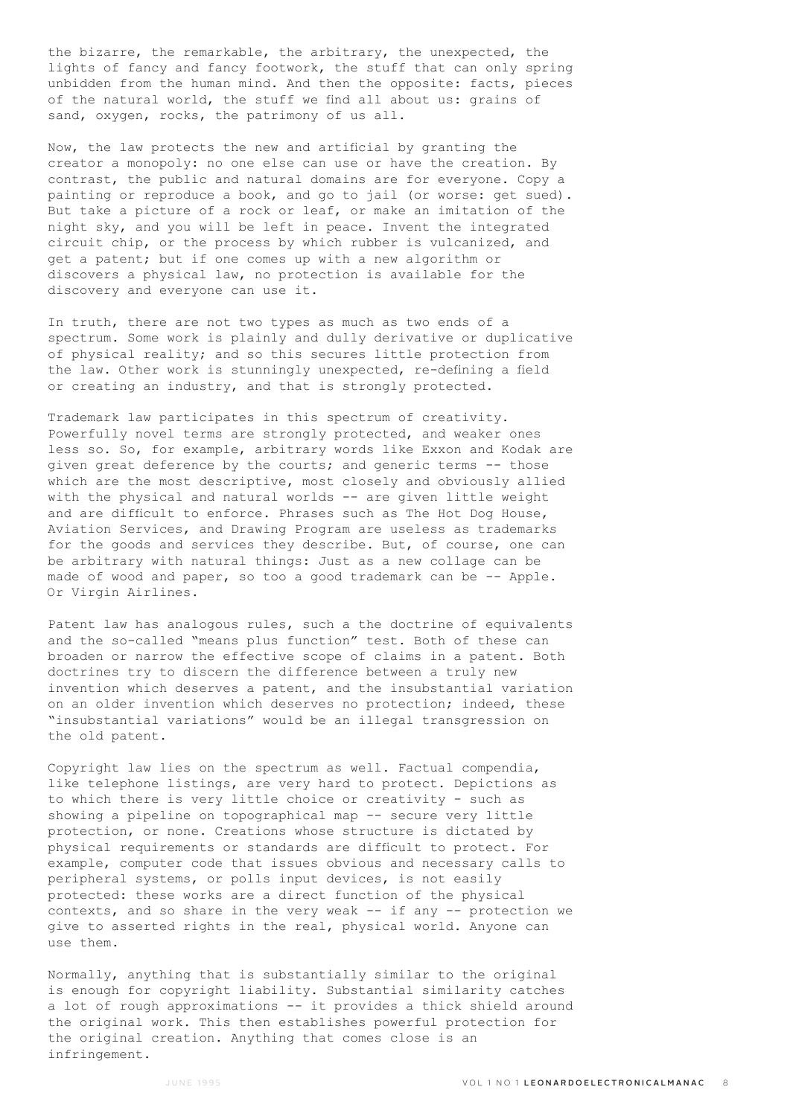the bizarre, the remarkable, the arbitrary, the unexpected, the lights of fancy and fancy footwork, the stuff that can only spring unbidden from the human mind. And then the opposite: facts, pieces of the natural world, the stuff we find all about us: grains of sand, oxygen, rocks, the patrimony of us all.

Now, the law protects the new and artificial by granting the creator a monopoly: no one else can use or have the creation. By contrast, the public and natural domains are for everyone. Copy a painting or reproduce a book, and go to jail (or worse: get sued). But take a picture of a rock or leaf, or make an imitation of the night sky, and you will be left in peace. Invent the integrated circuit chip, or the process by which rubber is vulcanized, and get a patent; but if one comes up with a new algorithm or discovers a physical law, no protection is available for the discovery and everyone can use it.

In truth, there are not two types as much as two ends of a spectrum. Some work is plainly and dully derivative or duplicative of physical reality; and so this secures little protection from the law. Other work is stunningly unexpected, re-defining a field or creating an industry, and that is strongly protected.

Trademark law participates in this spectrum of creativity. Powerfully novel terms are strongly protected, and weaker ones less so. So, for example, arbitrary words like Exxon and Kodak are given great deference by the courts; and generic terms -- those which are the most descriptive, most closely and obviously allied with the physical and natural worlds -- are given little weight and are difficult to enforce. Phrases such as The Hot Dog House, Aviation Services, and Drawing Program are useless as trademarks for the goods and services they describe. But, of course, one can be arbitrary with natural things: Just as a new collage can be made of wood and paper, so too a good trademark can be -- Apple. Or Virgin Airlines.

Patent law has analogous rules, such a the doctrine of equivalents and the so-called "means plus function" test. Both of these can broaden or narrow the effective scope of claims in a patent. Both doctrines try to discern the difference between a truly new invention which deserves a patent, and the insubstantial variation on an older invention which deserves no protection; indeed, these "insubstantial variations" would be an illegal transgression on the old patent.

Copyright law lies on the spectrum as well. Factual compendia, like telephone listings, are very hard to protect. Depictions as to which there is very little choice or creativity - such as showing a pipeline on topographical map -- secure very little protection, or none. Creations whose structure is dictated by physical requirements or standards are difficult to protect. For example, computer code that issues obvious and necessary calls to peripheral systems, or polls input devices, is not easily protected: these works are a direct function of the physical contexts, and so share in the very weak -- if any -- protection we give to asserted rights in the real, physical world. Anyone can use them.

Normally, anything that is substantially similar to the original is enough for copyright liability. Substantial similarity catches a lot of rough approximations -- it provides a thick shield around the original work. This then establishes powerful protection for the original creation. Anything that comes close is an infringement.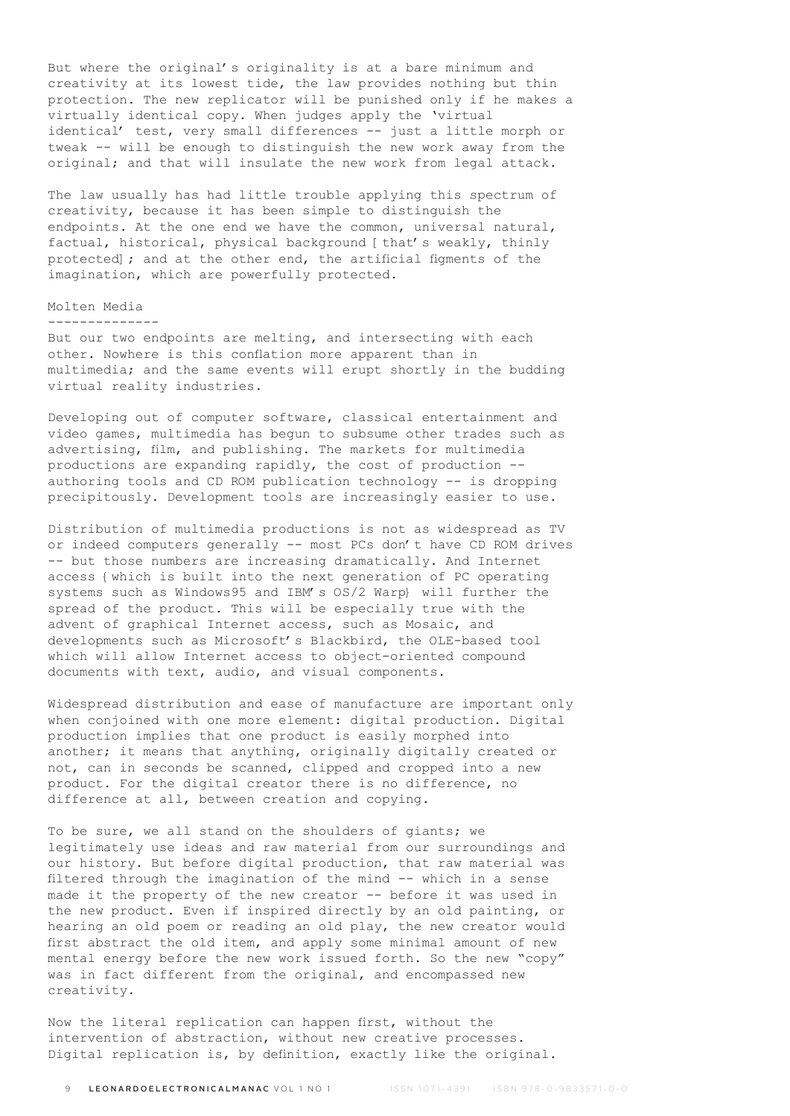But where the original's originality is at a bare minimum and creativity at its lowest tide, the law provides nothing but thin protection. The new replicator will be punished only if he makes a virtually identical copy. When judges apply the 'virtual identical' test, very small differences -- just a little morph or tweak -- will be enough to distinguish the new work away from the original; and that will insulate the new work from legal attack.

The law usually has had little trouble applying this spectrum of creativity, because it has been simple to distinguish the endpoints. At the one end we have the common, universal natural, factual, historical, physical background [that's weakly, thinly protected]; and at the other end, the artificial figments of the imagination, which are powerfully protected.

# Molten Media

--------------

But our two endpoints are melting, and intersecting with each other. Nowhere is this conflation more apparent than in multimedia; and the same events will erupt shortly in the budding virtual reality industries.

Developing out of computer software, classical entertainment and video games, multimedia has begun to subsume other trades such as advertising, film, and publishing. The markets for multimedia productions are expanding rapidly, the cost of production - authoring tools and CD ROM publication technology -- is dropping precipitously. Development tools are increasingly easier to use.

Distribution of multimedia productions is not as widespread as TV or indeed computers generally -- most PCs don't have CD ROM drives -- but those numbers are increasing dramatically. And Internet access {which is built into the next generation of PC operating systems such as Windows95 and IBM's OS/2 Warp} will further the spread of the product. This will be especially true with the advent of graphical Internet access, such as Mosaic, and developments such as Microsoft's Blackbird, the OLE-based tool which will allow Internet access to object-oriented compound documents with text, audio, and visual components.

Widespread distribution and ease of manufacture are important only when conjoined with one more element: digital production. Digital production implies that one product is easily morphed into another; it means that anything, originally digitally created or not, can in seconds be scanned, clipped and cropped into a new product. For the digital creator there is no difference, no difference at all, between creation and copying.

To be sure, we all stand on the shoulders of giants; we legitimately use ideas and raw material from our surroundings and our history. But before digital production, that raw material was filtered through the imagination of the mind -- which in a sense made it the property of the new creator -- before it was used in the new product. Even if inspired directly by an old painting, or hearing an old poem or reading an old play, the new creator would first abstract the old item, and apply some minimal amount of new mental energy before the new work issued forth. So the new "copy" was in fact different from the original, and encompassed new creativity.

Now the literal replication can happen first, without the intervention of abstraction, without new creative processes. Digital replication is, by definition, exactly like the original.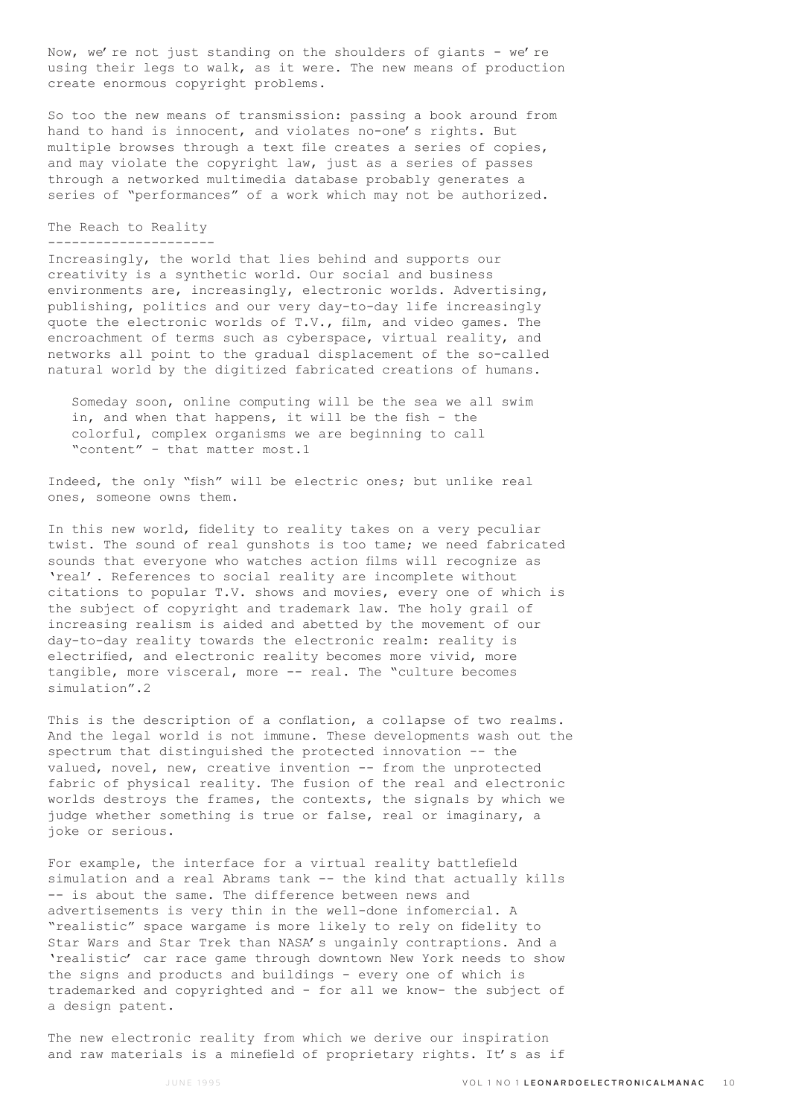Now, we're not just standing on the shoulders of giants - we're using their legs to walk, as it were. The new means of production create enormous copyright problems.

So too the new means of transmission: passing a book around from hand to hand is innocent, and violates no-one's rights. But multiple browses through a text file creates a series of copies, and may violate the copyright law, just as a series of passes through a networked multimedia database probably generates a series of "performances" of a work which may not be authorized.

### The Reach to Reality ---------------------

Increasingly, the world that lies behind and supports our creativity is a synthetic world. Our social and business environments are, increasingly, electronic worlds. Advertising, publishing, politics and our very day-to-day life increasingly quote the electronic worlds of T.V., film, and video games. The encroachment of terms such as cyberspace, virtual reality, and networks all point to the gradual displacement of the so-called natural world by the digitized fabricated creations of humans.

 Someday soon, online computing will be the sea we all swim in, and when that happens, it will be the fish - the colorful, complex organisms we are beginning to call "content" - that matter most.1

Indeed, the only "fish" will be electric ones; but unlike real ones, someone owns them.

In this new world, fidelity to reality takes on a very peculiar twist. The sound of real gunshots is too tame; we need fabricated sounds that everyone who watches action films will recognize as 'real'. References to social reality are incomplete without citations to popular T.V. shows and movies, every one of which is the subject of copyright and trademark law. The holy grail of increasing realism is aided and abetted by the movement of our day-to-day reality towards the electronic realm: reality is electrified, and electronic reality becomes more vivid, more tangible, more visceral, more -- real. The "culture becomes simulation".2

This is the description of a conflation, a collapse of two realms. And the legal world is not immune. These developments wash out the spectrum that distinguished the protected innovation -- the valued, novel, new, creative invention -- from the unprotected fabric of physical reality. The fusion of the real and electronic worlds destroys the frames, the contexts, the signals by which we judge whether something is true or false, real or imaginary, a joke or serious.

For example, the interface for a virtual reality battlefield simulation and a real Abrams tank -- the kind that actually kills -- is about the same. The difference between news and advertisements is very thin in the well-done infomercial. A "realistic" space wargame is more likely to rely on fidelity to Star Wars and Star Trek than NASA's ungainly contraptions. And a 'realistic' car race game through downtown New York needs to show the signs and products and buildings - every one of which is trademarked and copyrighted and - for all we know- the subject of a design patent.

The new electronic reality from which we derive our inspiration and raw materials is a minefield of proprietary rights. It's as if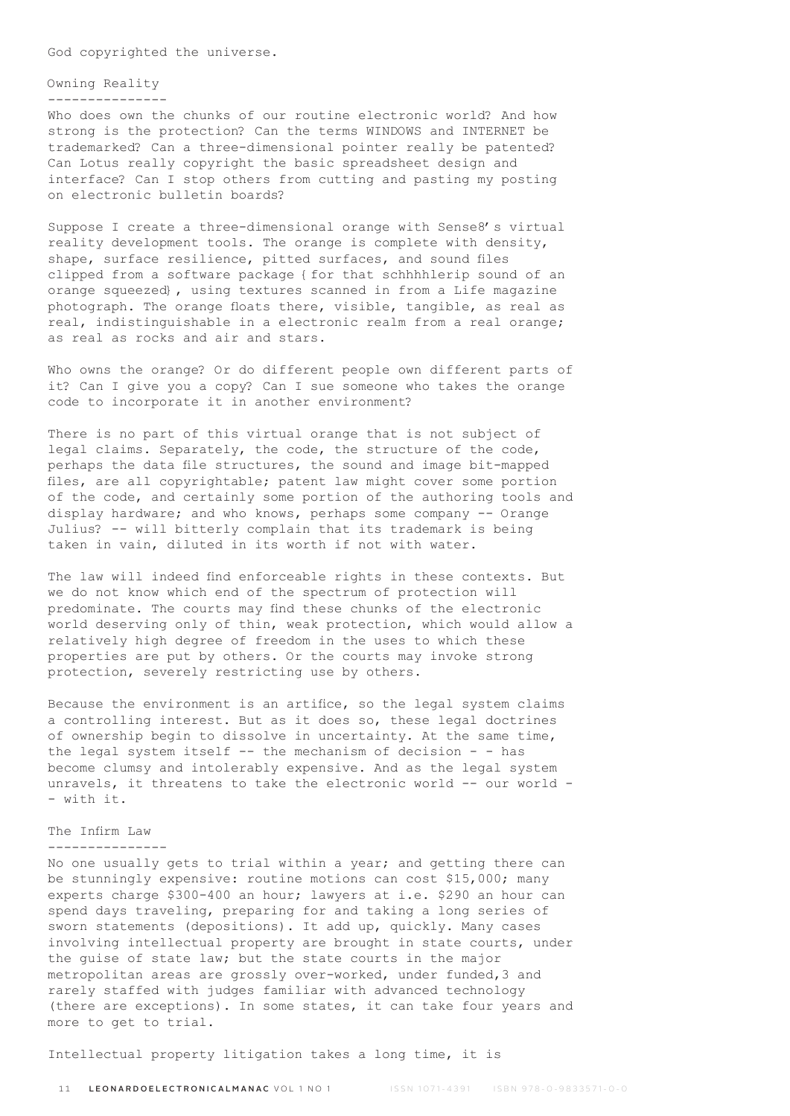God copyrighted the universe.

# Owning Reality

---------------

Who does own the chunks of our routine electronic world? And how strong is the protection? Can the terms WINDOWS and INTERNET be trademarked? Can a three-dimensional pointer really be patented? Can Lotus really copyright the basic spreadsheet design and interface? Can I stop others from cutting and pasting my posting on electronic bulletin boards?

Suppose I create a three-dimensional orange with Sense8's virtual reality development tools. The orange is complete with density, shape, surface resilience, pitted surfaces, and sound files clipped from a software package {for that schhhhlerip sound of an orange squeezed}, using textures scanned in from a Life magazine photograph. The orange floats there, visible, tangible, as real as real, indistinguishable in a electronic realm from a real orange; as real as rocks and air and stars.

Who owns the orange? Or do different people own different parts of it? Can I give you a copy? Can I sue someone who takes the orange code to incorporate it in another environment?

There is no part of this virtual orange that is not subject of legal claims. Separately, the code, the structure of the code, perhaps the data file structures, the sound and image bit-mapped files, are all copyrightable; patent law might cover some portion of the code, and certainly some portion of the authoring tools and display hardware; and who knows, perhaps some company -- Orange Julius? -- will bitterly complain that its trademark is being taken in vain, diluted in its worth if not with water.

The law will indeed find enforceable rights in these contexts. But we do not know which end of the spectrum of protection will predominate. The courts may find these chunks of the electronic world deserving only of thin, weak protection, which would allow a relatively high degree of freedom in the uses to which these properties are put by others. Or the courts may invoke strong protection, severely restricting use by others.

Because the environment is an artifice, so the legal system claims a controlling interest. But as it does so, these legal doctrines of ownership begin to dissolve in uncertainty. At the same time, the legal system itself -- the mechanism of decision - - has become clumsy and intolerably expensive. And as the legal system unravels, it threatens to take the electronic world -- our world -- with it.

# The Infirm Law

#### ---------------

No one usually gets to trial within a year; and getting there can be stunningly expensive: routine motions can cost \$15,000; many experts charge \$300-400 an hour; lawyers at i.e. \$290 an hour can spend days traveling, preparing for and taking a long series of sworn statements (depositions). It add up, quickly. Many cases involving intellectual property are brought in state courts, under the guise of state law; but the state courts in the major metropolitan areas are grossly over-worked, under funded,3 and rarely staffed with judges familiar with advanced technology (there are exceptions). In some states, it can take four years and more to get to trial.

Intellectual property litigation takes a long time, it is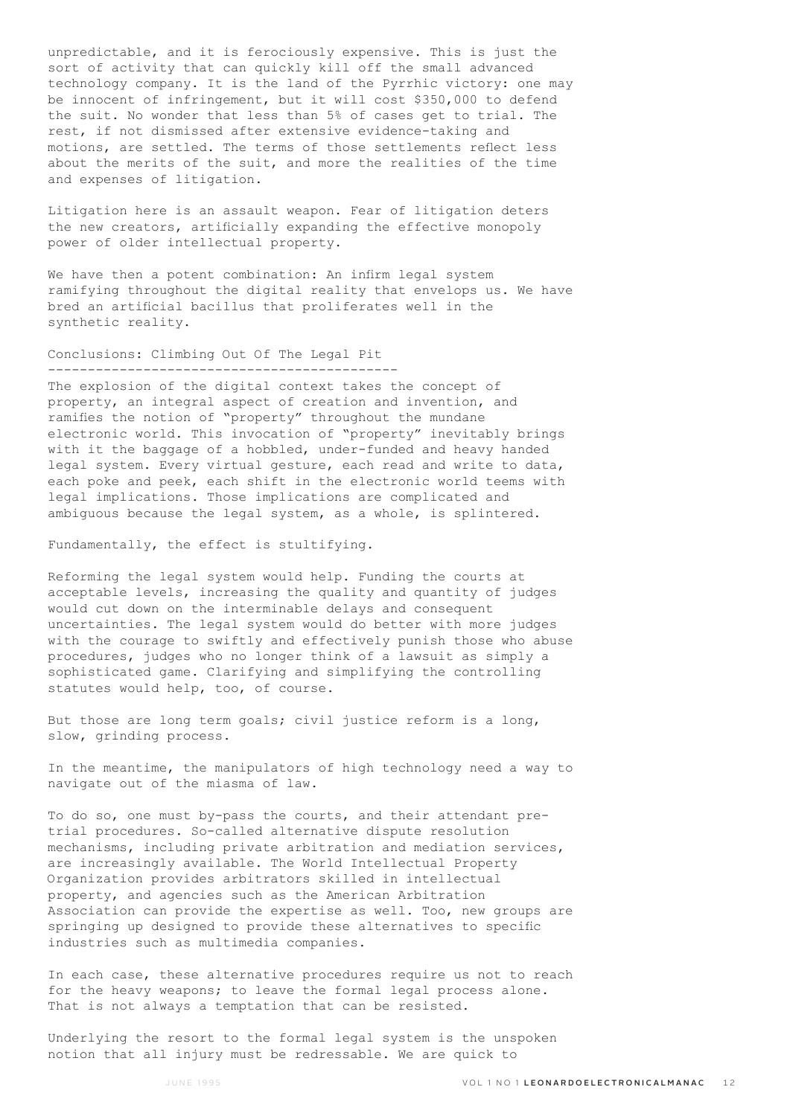unpredictable, and it is ferociously expensive. This is just the sort of activity that can quickly kill off the small advanced technology company. It is the land of the Pyrrhic victory: one may be innocent of infringement, but it will cost \$350,000 to defend the suit. No wonder that less than 5% of cases get to trial. The rest, if not dismissed after extensive evidence-taking and motions, are settled. The terms of those settlements reflect less about the merits of the suit, and more the realities of the time and expenses of litigation.

Litigation here is an assault weapon. Fear of litigation deters the new creators, artificially expanding the effective monopoly power of older intellectual property.

We have then a potent combination: An infirm legal system ramifying throughout the digital reality that envelops us. We have bred an artificial bacillus that proliferates well in the synthetic reality.

# Conclusions: Climbing Out Of The Legal Pit --------------------------------------------

The explosion of the digital context takes the concept of property, an integral aspect of creation and invention, and ramifies the notion of "property" throughout the mundane electronic world. This invocation of "property" inevitably brings with it the baggage of a hobbled, under-funded and heavy handed legal system. Every virtual gesture, each read and write to data, each poke and peek, each shift in the electronic world teems with legal implications. Those implications are complicated and ambiguous because the legal system, as a whole, is splintered.

Fundamentally, the effect is stultifying.

Reforming the legal system would help. Funding the courts at acceptable levels, increasing the quality and quantity of judges would cut down on the interminable delays and consequent uncertainties. The legal system would do better with more judges with the courage to swiftly and effectively punish those who abuse procedures, judges who no longer think of a lawsuit as simply a sophisticated game. Clarifying and simplifying the controlling statutes would help, too, of course.

But those are long term goals; civil justice reform is a long, slow, grinding process.

In the meantime, the manipulators of high technology need a way to navigate out of the miasma of law.

To do so, one must by-pass the courts, and their attendant pretrial procedures. So-called alternative dispute resolution mechanisms, including private arbitration and mediation services, are increasingly available. The World Intellectual Property Organization provides arbitrators skilled in intellectual property, and agencies such as the American Arbitration Association can provide the expertise as well. Too, new groups are springing up designed to provide these alternatives to specific industries such as multimedia companies.

In each case, these alternative procedures require us not to reach for the heavy weapons; to leave the formal legal process alone. That is not always a temptation that can be resisted.

Underlying the resort to the formal legal system is the unspoken notion that all injury must be redressable. We are quick to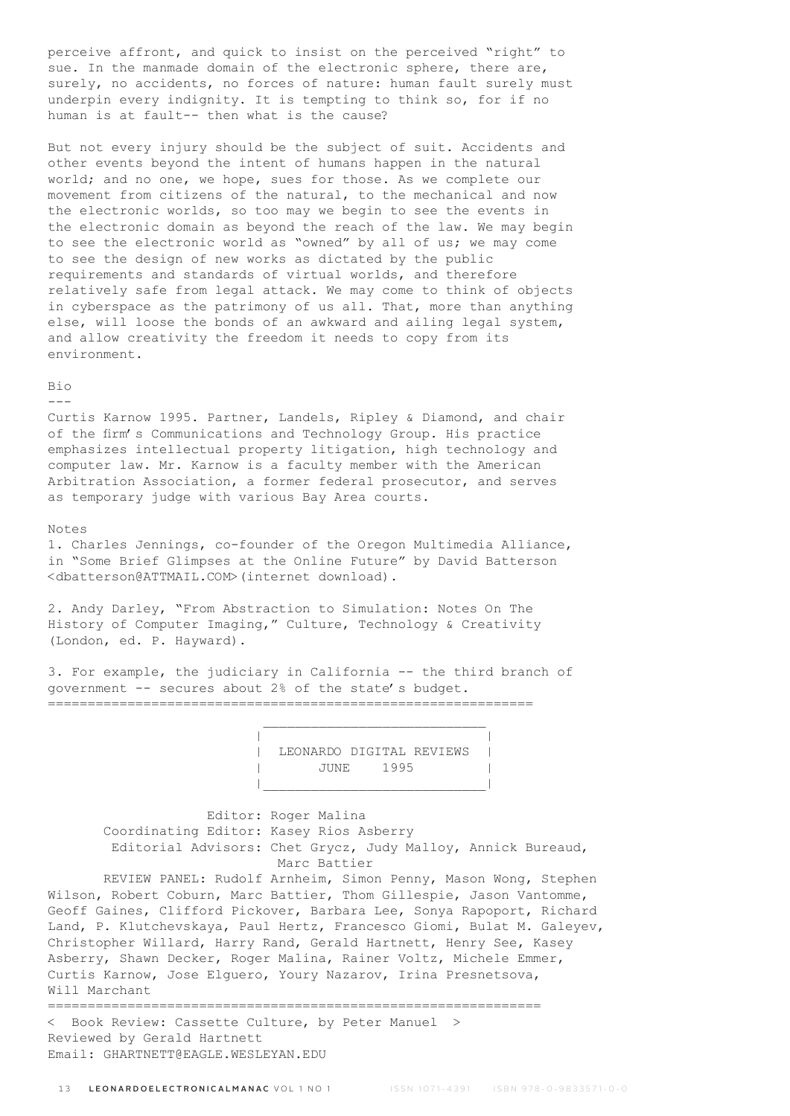perceive affront, and quick to insist on the perceived "right" to sue. In the manmade domain of the electronic sphere, there are, surely, no accidents, no forces of nature: human fault surely must underpin every indignity. It is tempting to think so, for if no human is at fault-- then what is the cause?

But not every injury should be the subject of suit. Accidents and other events beyond the intent of humans happen in the natural world; and no one, we hope, sues for those. As we complete our movement from citizens of the natural, to the mechanical and now the electronic worlds, so too may we begin to see the events in the electronic domain as beyond the reach of the law. We may begin to see the electronic world as "owned" by all of us; we may come to see the design of new works as dictated by the public requirements and standards of virtual worlds, and therefore relatively safe from legal attack. We may come to think of objects in cyberspace as the patrimony of us all. That, more than anything else, will loose the bonds of an awkward and ailing legal system, and allow creativity the freedom it needs to copy from its environment.

#### Bio ---

Curtis Karnow 1995. Partner, Landels, Ripley & Diamond, and chair of the firm's Communications and Technology Group. His practice emphasizes intellectual property litigation, high technology and computer law. Mr. Karnow is a faculty member with the American Arbitration Association, a former federal prosecutor, and serves as temporary judge with various Bay Area courts.

# Notes

1. Charles Jennings, co-founder of the Oregon Multimedia Alliance, in "Some Brief Glimpses at the Online Future" by David Batterson <dbatterson@ATTMAIL.COM>(internet download).

2. Andy Darley, "From Abstraction to Simulation: Notes On The History of Computer Imaging," Culture, Technology & Creativity (London, ed. P. Hayward).

 $\mathcal{L}_\text{max}$  and the contract of the contract of the contract of the contract of the contract of the contract of the contract of the contract of the contract of the contract of the contract of the contract of the contrac

3. For example, the judiciary in California -- the third branch of government -- secures about 2% of the state's budget. =============================================================

 | | | LEONARDO DIGITAL REVIEWS | | JUNE 1995 | |\_\_\_\_\_\_\_\_\_\_\_\_\_\_\_\_\_\_\_\_\_\_\_\_\_\_\_\_|

> Editor: Roger Malina Coordinating Editor: Kasey Rios Asberry Editorial Advisors: Chet Grycz, Judy Malloy, Annick Bureaud, Marc Battier

 REVIEW PANEL: Rudolf Arnheim, Simon Penny, Mason Wong, Stephen Wilson, Robert Coburn, Marc Battier, Thom Gillespie, Jason Vantomme, Geoff Gaines, Clifford Pickover, Barbara Lee, Sonya Rapoport, Richard Land, P. Klutchevskaya, Paul Hertz, Francesco Giomi, Bulat M. Galeyev, Christopher Willard, Harry Rand, Gerald Hartnett, Henry See, Kasey Asberry, Shawn Decker, Roger Malina, Rainer Voltz, Michele Emmer, Curtis Karnow, Jose Elguero, Youry Nazarov, Irina Presnetsova, Will Marchant

============================================================== < Book Review: Cassette Culture, by Peter Manuel > Reviewed by Gerald Hartnett Email: GHARTNETT@EAGLE.WESLEYAN.EDU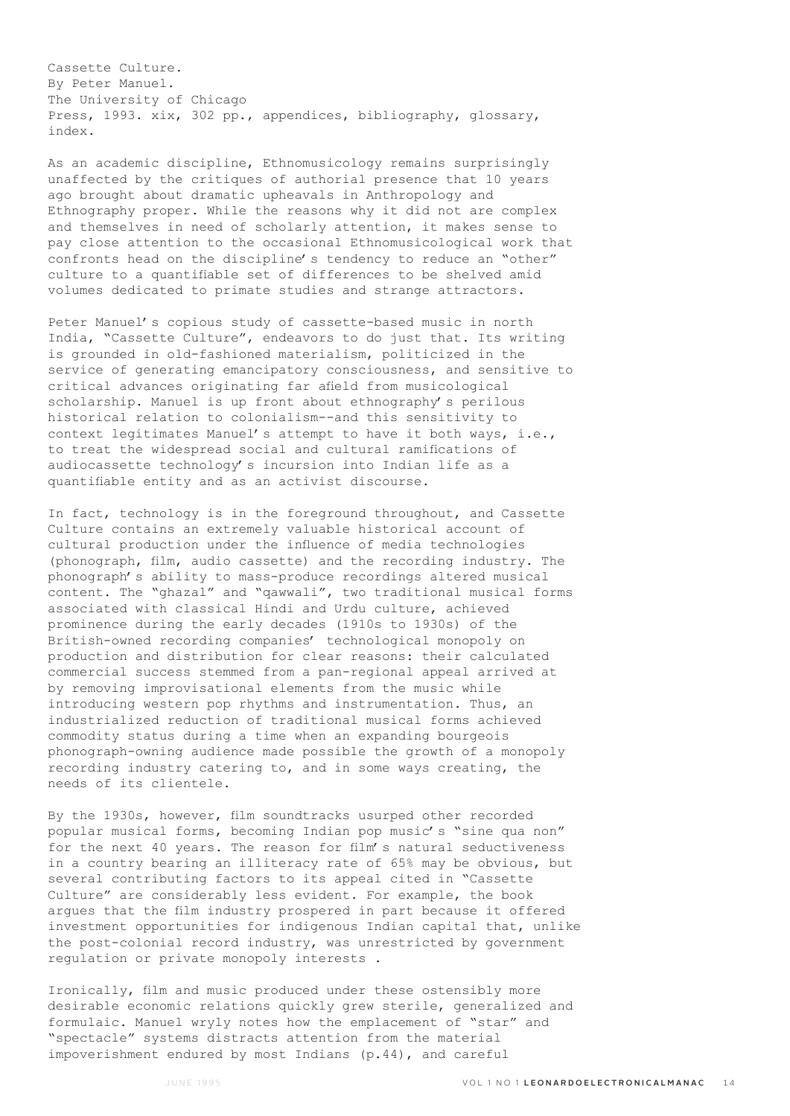Cassette Culture. By Peter Manuel. The University of Chicago Press, 1993. xix, 302 pp., appendices, bibliography, glossary, index.

As an academic discipline, Ethnomusicology remains surprisingly unaffected by the critiques of authorial presence that 10 years ago brought about dramatic upheavals in Anthropology and Ethnography proper. While the reasons why it did not are complex and themselves in need of scholarly attention, it makes sense to pay close attention to the occasional Ethnomusicological work that confronts head on the discipline's tendency to reduce an "other" culture to a quantifiable set of differences to be shelved amid volumes dedicated to primate studies and strange attractors.

Peter Manuel's copious study of cassette-based music in north India, "Cassette Culture", endeavors to do just that. Its writing is grounded in old-fashioned materialism, politicized in the service of generating emancipatory consciousness, and sensitive to critical advances originating far afield from musicological scholarship. Manuel is up front about ethnography's perilous historical relation to colonialism--and this sensitivity to context legitimates Manuel's attempt to have it both ways, i.e., to treat the widespread social and cultural ramifications of audiocassette technology's incursion into Indian life as a quantifiable entity and as an activist discourse.

In fact, technology is in the foreground throughout, and Cassette Culture contains an extremely valuable historical account of cultural production under the influence of media technologies (phonograph, film, audio cassette) and the recording industry. The phonograph's ability to mass-produce recordings altered musical content. The "ghazal" and "qawwali", two traditional musical forms associated with classical Hindi and Urdu culture, achieved prominence during the early decades (1910s to 1930s) of the British-owned recording companies' technological monopoly on production and distribution for clear reasons: their calculated commercial success stemmed from a pan-regional appeal arrived at by removing improvisational elements from the music while introducing western pop rhythms and instrumentation. Thus, an industrialized reduction of traditional musical forms achieved commodity status during a time when an expanding bourgeois phonograph-owning audience made possible the growth of a monopoly recording industry catering to, and in some ways creating, the needs of its clientele.

By the 1930s, however, film soundtracks usurped other recorded popular musical forms, becoming Indian pop music's "sine qua non" for the next 40 years. The reason for film's natural seductiveness in a country bearing an illiteracy rate of 65% may be obvious, but several contributing factors to its appeal cited in "Cassette Culture" are considerably less evident. For example, the book argues that the film industry prospered in part because it offered investment opportunities for indigenous Indian capital that, unlike the post-colonial record industry, was unrestricted by government regulation or private monopoly interests .

Ironically, film and music produced under these ostensibly more desirable economic relations quickly grew sterile, generalized and formulaic. Manuel wryly notes how the emplacement of "star" and "spectacle" systems distracts attention from the material impoverishment endured by most Indians (p.44), and careful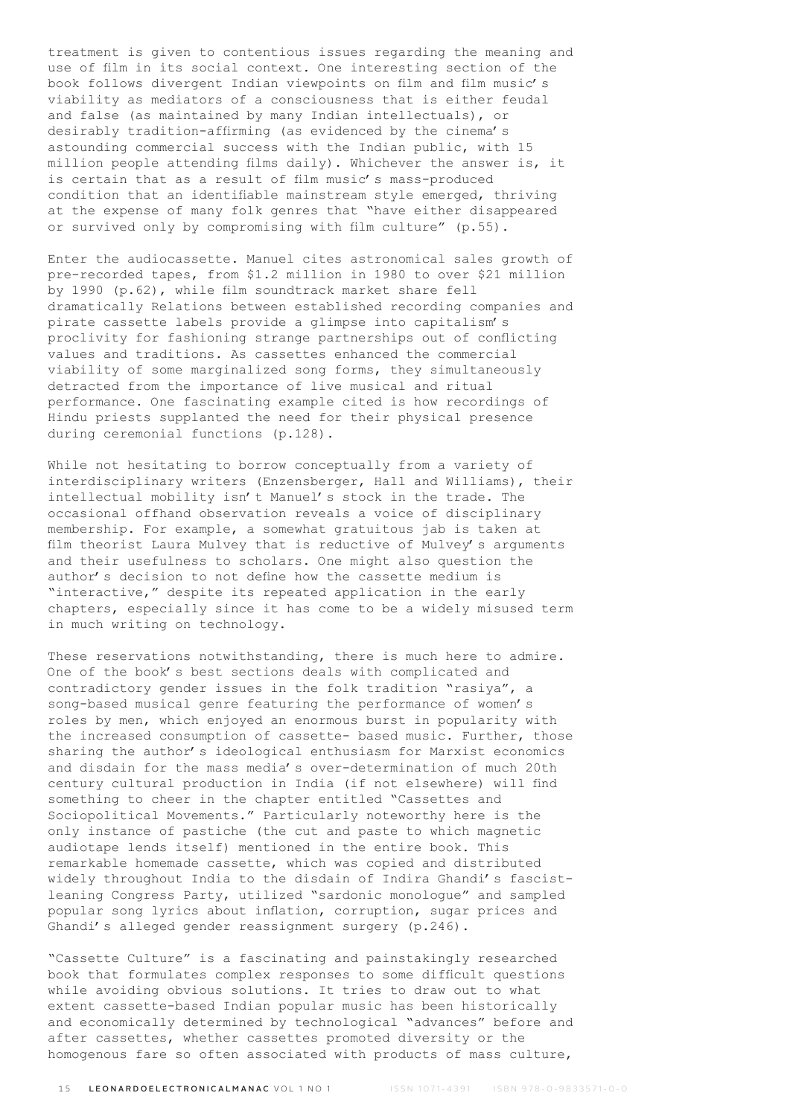treatment is given to contentious issues regarding the meaning and use of film in its social context. One interesting section of the book follows divergent Indian viewpoints on film and film music's viability as mediators of a consciousness that is either feudal and false (as maintained by many Indian intellectuals), or desirably tradition-affirming (as evidenced by the cinema's astounding commercial success with the Indian public, with 15 million people attending films daily). Whichever the answer is, it is certain that as a result of film music's mass-produced condition that an identifiable mainstream style emerged, thriving at the expense of many folk genres that "have either disappeared or survived only by compromising with film culture" (p.55).

Enter the audiocassette. Manuel cites astronomical sales growth of pre-recorded tapes, from \$1.2 million in 1980 to over \$21 million by 1990 (p.62), while film soundtrack market share fell dramatically Relations between established recording companies and pirate cassette labels provide a glimpse into capitalism's proclivity for fashioning strange partnerships out of conflicting values and traditions. As cassettes enhanced the commercial viability of some marginalized song forms, they simultaneously detracted from the importance of live musical and ritual performance. One fascinating example cited is how recordings of Hindu priests supplanted the need for their physical presence during ceremonial functions (p.128).

While not hesitating to borrow conceptually from a variety of interdisciplinary writers (Enzensberger, Hall and Williams), their intellectual mobility isn't Manuel's stock in the trade. The occasional offhand observation reveals a voice of disciplinary membership. For example, a somewhat gratuitous jab is taken at film theorist Laura Mulvey that is reductive of Mulvey's arguments and their usefulness to scholars. One might also question the author's decision to not define how the cassette medium is "interactive," despite its repeated application in the early chapters, especially since it has come to be a widely misused term in much writing on technology.

These reservations notwithstanding, there is much here to admire. One of the book's best sections deals with complicated and contradictory gender issues in the folk tradition "rasiya", a song-based musical genre featuring the performance of women's roles by men, which enjoyed an enormous burst in popularity with the increased consumption of cassette- based music. Further, those sharing the author's ideological enthusiasm for Marxist economics and disdain for the mass media's over-determination of much 20th century cultural production in India (if not elsewhere) will find something to cheer in the chapter entitled "Cassettes and Sociopolitical Movements." Particularly noteworthy here is the only instance of pastiche (the cut and paste to which magnetic audiotape lends itself) mentioned in the entire book. This remarkable homemade cassette, which was copied and distributed widely throughout India to the disdain of Indira Ghandi's fascistleaning Congress Party, utilized "sardonic monologue" and sampled popular song lyrics about inflation, corruption, sugar prices and Ghandi's alleged gender reassignment surgery (p.246).

"Cassette Culture" is a fascinating and painstakingly researched book that formulates complex responses to some difficult questions while avoiding obvious solutions. It tries to draw out to what extent cassette-based Indian popular music has been historically and economically determined by technological "advances" before and after cassettes, whether cassettes promoted diversity or the homogenous fare so often associated with products of mass culture,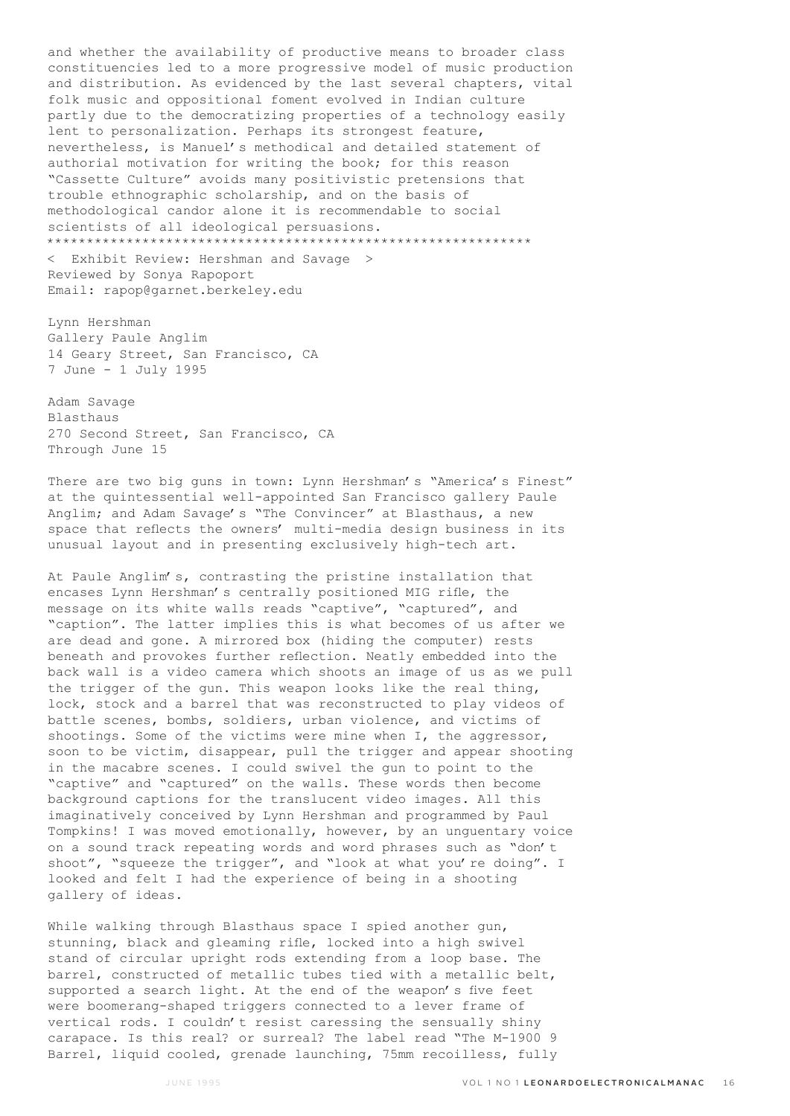and whether the availability of productive means to broader class constituencies led to a more progressive model of music production and distribution. As evidenced by the last several chapters, vital folk music and oppositional foment evolved in Indian culture partly due to the democratizing properties of a technology easily lent to personalization. Perhaps its strongest feature, nevertheless, is Manuel's methodical and detailed statement of authorial motivation for writing the book; for this reason "Cassette Culture" avoids many positivistic pretensions that trouble ethnographic scholarship, and on the basis of methodological candor alone it is recommendable to social scientists of all ideological persuasions. \*\*\*\*\*\*\*\*\*\*\*\*\*\*\*\*\*\*\*\*\*\*\*\*\*\*\*\*\*\*\*\*\*\*\*\*\*\*\*\*\*\*\*\*\*\*\*\*\*\*\*\*\*\*\*\*\*\*\*\*\*

< Exhibit Review: Hershman and Savage > Reviewed by Sonya Rapoport Email: rapop@garnet.berkeley.edu

Lynn Hershman Gallery Paule Anglim 14 Geary Street, San Francisco, CA 7 June - 1 July 1995

Adam Savage Blasthaus 270 Second Street, San Francisco, CA Through June 15

There are two big guns in town: Lynn Hershman's "America's Finest" at the quintessential well-appointed San Francisco gallery Paule Anglim; and Adam Savage's "The Convincer" at Blasthaus, a new space that reflects the owners' multi-media design business in its unusual layout and in presenting exclusively high-tech art.

At Paule Anglim's, contrasting the pristine installation that encases Lynn Hershman's centrally positioned MIG rifle, the message on its white walls reads "captive", "captured", and "caption". The latter implies this is what becomes of us after we are dead and gone. A mirrored box (hiding the computer) rests beneath and provokes further reflection. Neatly embedded into the back wall is a video camera which shoots an image of us as we pull the trigger of the gun. This weapon looks like the real thing, lock, stock and a barrel that was reconstructed to play videos of battle scenes, bombs, soldiers, urban violence, and victims of shootings. Some of the victims were mine when I, the aggressor, soon to be victim, disappear, pull the trigger and appear shooting in the macabre scenes. I could swivel the gun to point to the "captive" and "captured" on the walls. These words then become background captions for the translucent video images. All this imaginatively conceived by Lynn Hershman and programmed by Paul Tompkins! I was moved emotionally, however, by an unguentary voice on a sound track repeating words and word phrases such as "don't shoot", "squeeze the trigger", and "look at what you're doing". I looked and felt I had the experience of being in a shooting gallery of ideas.

While walking through Blasthaus space I spied another gun, stunning, black and gleaming rifle, locked into a high swivel stand of circular upright rods extending from a loop base. The barrel, constructed of metallic tubes tied with a metallic belt, supported a search light. At the end of the weapon's five feet were boomerang-shaped triggers connected to a lever frame of vertical rods. I couldn't resist caressing the sensually shiny carapace. Is this real? or surreal? The label read "The M-1900 9 Barrel, liquid cooled, grenade launching, 75mm recoilless, fully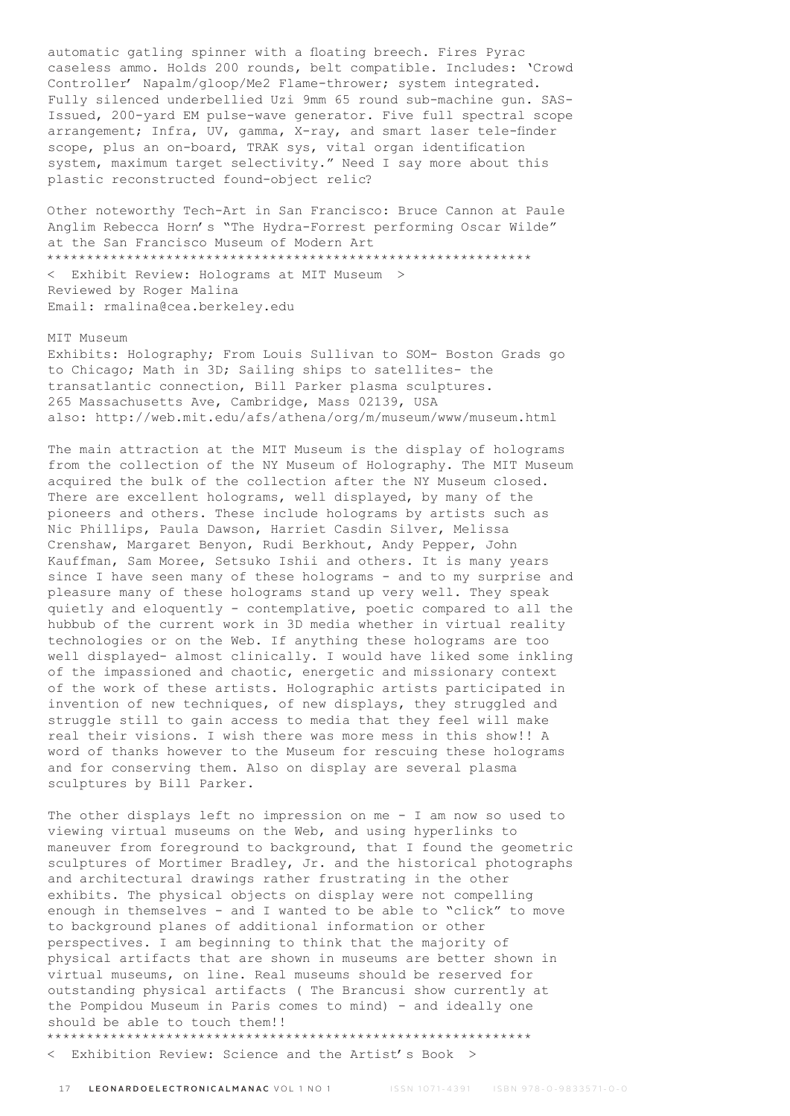automatic gatling spinner with a floating breech. Fires Pyrac caseless ammo. Holds 200 rounds, belt compatible. Includes: 'Crowd Controller' Napalm/gloop/Me2 Flame-thrower; system integrated. Fully silenced underbellied Uzi 9mm 65 round sub-machine gun. SAS-Issued, 200-yard EM pulse-wave generator. Five full spectral scope arrangement; Infra, UV, gamma, X-ray, and smart laser tele-finder scope, plus an on-board, TRAK sys, vital organ identification system, maximum target selectivity." Need I say more about this plastic reconstructed found-object relic?

Other noteworthy Tech-Art in San Francisco: Bruce Cannon at Paule Anglim Rebecca Horn's "The Hydra-Forrest performing Oscar Wilde" at the San Francisco Museum of Modern Art \*\*\*\*\*\*\*\*\*\*\*\*\*\*\*\*\*\*\*\*\*\*\*\*\*\*\*\*\*\*\*\*\*\*\*\*\*\*\*\*\*\*\*\*\*\*\*\*\*\*\*\*\*\*\*\*\*\*\*\*\* < Exhibit Review: Holograms at MIT Museum > Reviewed by Roger Malina Email: rmalina@cea.berkeley.edu

#### MIT Museum

Exhibits: Holography; From Louis Sullivan to SOM- Boston Grads go to Chicago; Math in 3D; Sailing ships to satellites- the transatlantic connection, Bill Parker plasma sculptures. 265 Massachusetts Ave, Cambridge, Mass 02139, USA also: http://web.mit.edu/afs/athena/org/m/museum/www/museum.html

The main attraction at the MIT Museum is the display of holograms from the collection of the NY Museum of Holography. The MIT Museum acquired the bulk of the collection after the NY Museum closed. There are excellent holograms, well displayed, by many of the pioneers and others. These include holograms by artists such as Nic Phillips, Paula Dawson, Harriet Casdin Silver, Melissa Crenshaw, Margaret Benyon, Rudi Berkhout, Andy Pepper, John Kauffman, Sam Moree, Setsuko Ishii and others. It is many years since I have seen many of these holograms - and to my surprise and pleasure many of these holograms stand up very well. They speak quietly and eloquently - contemplative, poetic compared to all the hubbub of the current work in 3D media whether in virtual reality technologies or on the Web. If anything these holograms are too well displayed- almost clinically. I would have liked some inkling of the impassioned and chaotic, energetic and missionary context of the work of these artists. Holographic artists participated in invention of new techniques, of new displays, they struggled and struggle still to gain access to media that they feel will make real their visions. I wish there was more mess in this show!! A word of thanks however to the Museum for rescuing these holograms and for conserving them. Also on display are several plasma sculptures by Bill Parker.

The other displays left no impression on me - I am now so used to viewing virtual museums on the Web, and using hyperlinks to maneuver from foreground to background, that I found the geometric sculptures of Mortimer Bradley, Jr. and the historical photographs and architectural drawings rather frustrating in the other exhibits. The physical objects on display were not compelling enough in themselves - and I wanted to be able to "click" to move to background planes of additional information or other perspectives. I am beginning to think that the majority of physical artifacts that are shown in museums are better shown in virtual museums, on line. Real museums should be reserved for outstanding physical artifacts ( The Brancusi show currently at the Pompidou Museum in Paris comes to mind) - and ideally one should be able to touch them!! \*\*\*\*\*\*\*\*\*\*\*\*\*\*\*\*\*\*\*\*\*\*\*\*\*\*\*\*\*\*\*\*\*\*\*\*\*\*\*\*\*\*\*\*\*\*\*\*\*\*\*\*\*\*\*\*\*\*\*\*\*

< Exhibition Review: Science and the Artist's Book >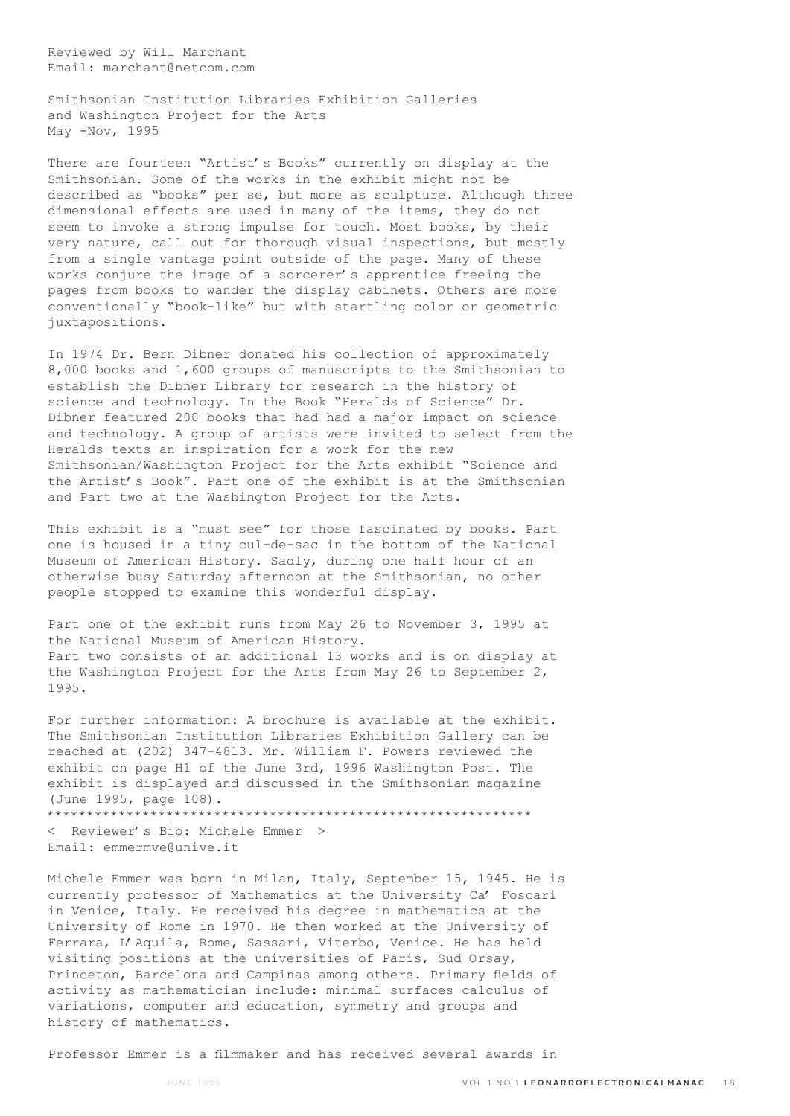Reviewed by Will Marchant Email: marchant@netcom.com

Smithsonian Institution Libraries Exhibition Galleries and Washington Project for the Arts May -Nov, 1995

There are fourteen "Artist's Books" currently on display at the Smithsonian. Some of the works in the exhibit might not be described as "books" per se, but more as sculpture. Although three dimensional effects are used in many of the items, they do not seem to invoke a strong impulse for touch. Most books, by their very nature, call out for thorough visual inspections, but mostly from a single vantage point outside of the page. Many of these works conjure the image of a sorcerer's apprentice freeing the pages from books to wander the display cabinets. Others are more conventionally "book-like" but with startling color or geometric juxtapositions.

In 1974 Dr. Bern Dibner donated his collection of approximately 8,000 books and 1,600 groups of manuscripts to the Smithsonian to establish the Dibner Library for research in the history of science and technology. In the Book "Heralds of Science" Dr. Dibner featured 200 books that had had a major impact on science and technology. A group of artists were invited to select from the Heralds texts an inspiration for a work for the new Smithsonian/Washington Project for the Arts exhibit "Science and the Artist's Book". Part one of the exhibit is at the Smithsonian and Part two at the Washington Project for the Arts.

This exhibit is a "must see" for those fascinated by books. Part one is housed in a tiny cul-de-sac in the bottom of the National Museum of American History. Sadly, during one half hour of an otherwise busy Saturday afternoon at the Smithsonian, no other people stopped to examine this wonderful display.

Part one of the exhibit runs from May 26 to November 3, 1995 at the National Museum of American History. Part two consists of an additional 13 works and is on display at the Washington Project for the Arts from May 26 to September 2, 1995.

For further information: A brochure is available at the exhibit. The Smithsonian Institution Libraries Exhibition Gallery can be reached at (202) 347-4813. Mr. William F. Powers reviewed the exhibit on page H1 of the June 3rd, 1996 Washington Post. The exhibit is displayed and discussed in the Smithsonian magazine (June 1995, page 108). \*\*\*\*\*\*\*\*\*\*\*\*\*\*\*\*\*\*\*\*\*\*\*\*\*\*\*\*\*\*\*\*\*\*\*\*\*\*\*\*\*\*\*\*\*\*\*\*\*\*\*\*\*\*\*\*\*\*\*\*\*

< Reviewer's Bio: Michele Emmer > Email: emmermve@unive.it

Michele Emmer was born in Milan, Italy, September 15, 1945. He is currently professor of Mathematics at the University Ca' Foscari in Venice, Italy. He received his degree in mathematics at the University of Rome in 1970. He then worked at the University of Ferrara, L'Aquila, Rome, Sassari, Viterbo, Venice. He has held visiting positions at the universities of Paris, Sud Orsay, Princeton, Barcelona and Campinas among others. Primary fields of activity as mathematician include: minimal surfaces calculus of variations, computer and education, symmetry and groups and history of mathematics.

Professor Emmer is a filmmaker and has received several awards in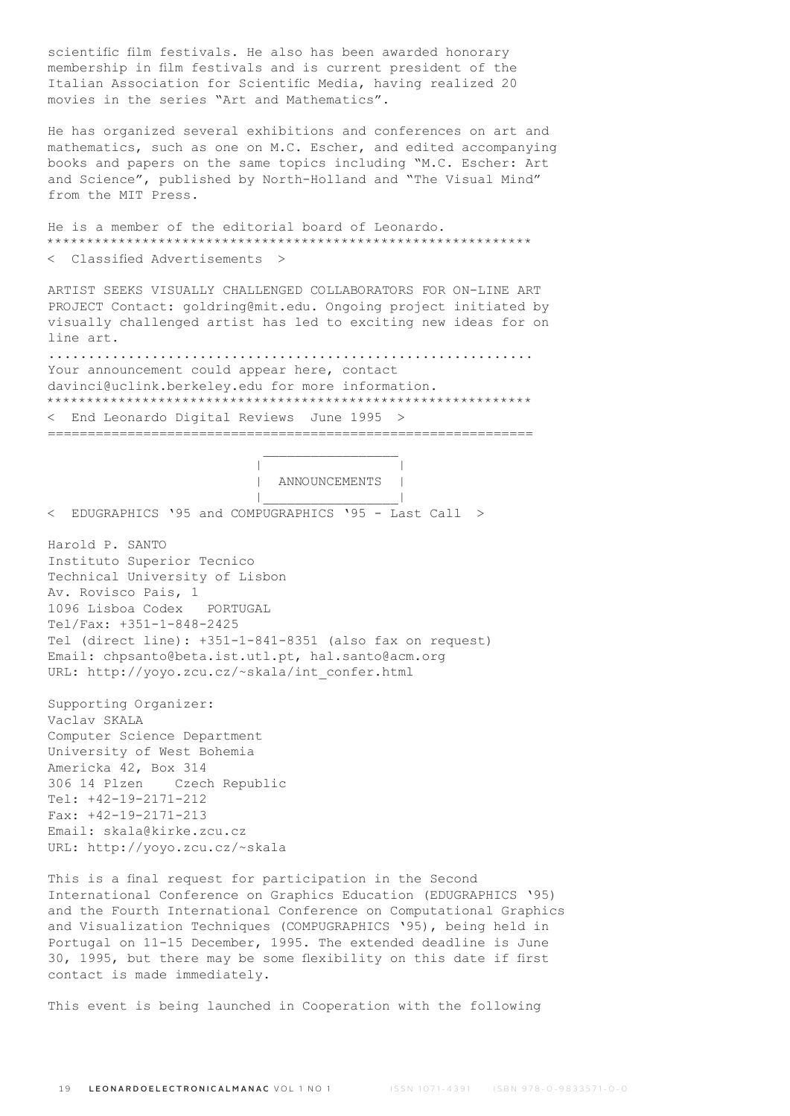scientific film festivals. He also has been awarded honorary membership in film festivals and is current president of the Italian Association for Scientific Media, having realized 20 movies in the series "Art and Mathematics".

He has organized several exhibitions and conferences on art and mathematics, such as one on M.C. Escher, and edited accompanying books and papers on the same topics including "M.C. Escher: Art and Science", published by North-Holland and "The Visual Mind" from the MIT Press.

He is a member of the editorial board of Leonardo. \*\*\*\*\*\*\*\*\*\*\*\*\*\*\*\*\*\*\*\*\*\*\*\*\*\*\*\*\*\*\*\*\*\*\*\*\*\*\*\*\*\*\*\*\*\*\*\*\*\*\*\*\*\*\*\*\*\*\*\*\* < Classified Advertisements >

ARTIST SEEKS VISUALLY CHALLENGED COLLABORATORS FOR ON-LINE ART PROJECT Contact: goldring@mit.edu. Ongoing project initiated by visually challenged artist has led to exciting new ideas for on line art.

............................................................. Your announcement could appear here, contact davinci@uclink.berkeley.edu for more information. \*\*\*\*\*\*\*\*\*\*\*\*\*\*\*\*\*\*\*\*\*\*\*\*\*\*\*\*\*\*\*\*\*\*\*\*\*\*\*\*\*\*\*\*\*\*\*\*\*\*\*\*\*\*\*\*\*\*\*\*\* < End Leonardo Digital Reviews June 1995 >

=============================================================

 | | | ANNOUNCEMENTS | |\_\_\_\_\_\_\_\_\_\_\_\_\_\_\_\_\_|

< EDUGRAPHICS '95 and COMPUGRAPHICS '95 - Last Call >

 $\mathcal{L}_\text{max}$  and  $\mathcal{L}_\text{max}$  and  $\mathcal{L}_\text{max}$  and  $\mathcal{L}_\text{max}$ 

Harold P. SANTO Instituto Superior Tecnico Technical University of Lisbon Av. Rovisco Pais, 1 1096 Lisboa Codex PORTUGAL Tel/Fax: +351-1-848-2425 Tel (direct line): +351-1-841-8351 (also fax on request) Email: chpsanto@beta.ist.utl.pt, hal.santo@acm.org URL: http://yoyo.zcu.cz/~skala/int\_confer.html

Supporting Organizer: Vaclav SKALA Computer Science Department University of West Bohemia Americka 42, Box 314 306 14 Plzen Czech Republic Tel: +42-19-2171-212 Fax: +42-19-2171-213 Email: skala@kirke.zcu.cz URL: http://yoyo.zcu.cz/~skala

This is a final request for participation in the Second International Conference on Graphics Education (EDUGRAPHICS '95) and the Fourth International Conference on Computational Graphics and Visualization Techniques (COMPUGRAPHICS '95), being held in Portugal on 11-15 December, 1995. The extended deadline is June 30, 1995, but there may be some flexibility on this date if first contact is made immediately.

This event is being launched in Cooperation with the following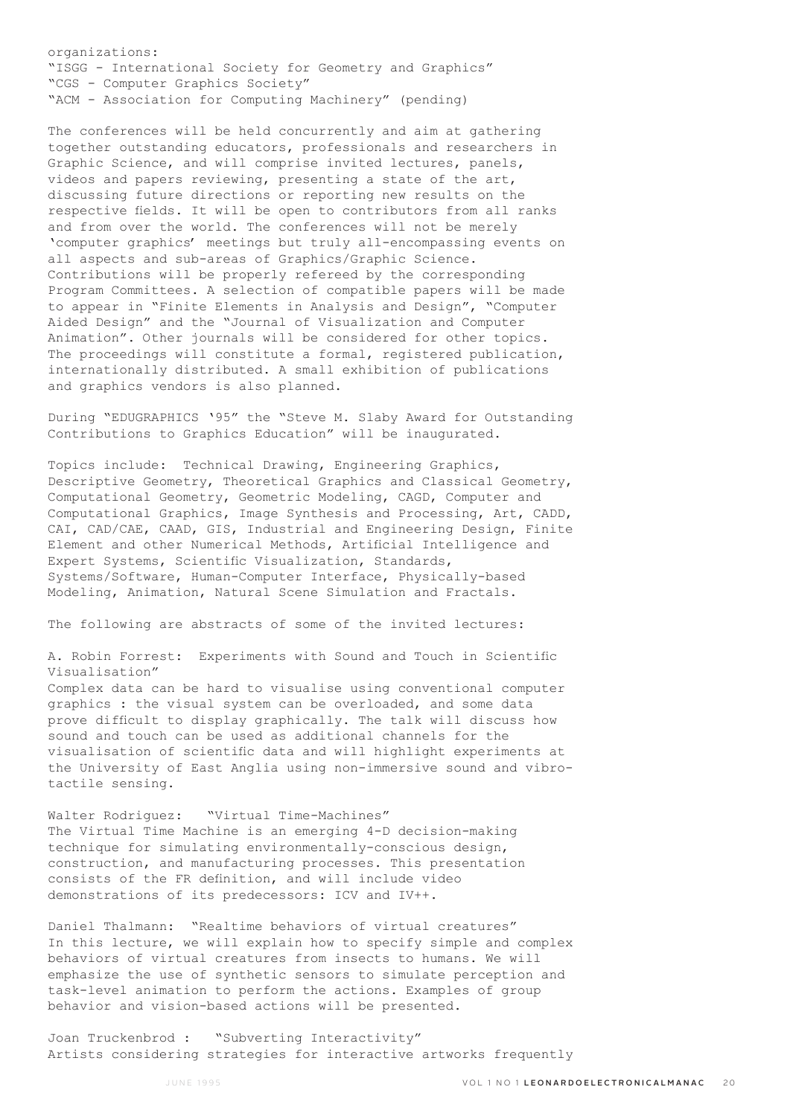organizations: "ISGG - International Society for Geometry and Graphics" "CGS - Computer Graphics Society" "ACM - Association for Computing Machinery" (pending)

The conferences will be held concurrently and aim at gathering together outstanding educators, professionals and researchers in Graphic Science, and will comprise invited lectures, panels, videos and papers reviewing, presenting a state of the art, discussing future directions or reporting new results on the respective fields. It will be open to contributors from all ranks and from over the world. The conferences will not be merely 'computer graphics' meetings but truly all-encompassing events on all aspects and sub-areas of Graphics/Graphic Science. Contributions will be properly refereed by the corresponding Program Committees. A selection of compatible papers will be made to appear in "Finite Elements in Analysis and Design", "Computer Aided Design" and the "Journal of Visualization and Computer Animation". Other journals will be considered for other topics. The proceedings will constitute a formal, registered publication, internationally distributed. A small exhibition of publications and graphics vendors is also planned.

During "EDUGRAPHICS '95" the "Steve M. Slaby Award for Outstanding Contributions to Graphics Education" will be inaugurated.

Topics include: Technical Drawing, Engineering Graphics, Descriptive Geometry, Theoretical Graphics and Classical Geometry, Computational Geometry, Geometric Modeling, CAGD, Computer and Computational Graphics, Image Synthesis and Processing, Art, CADD, CAI, CAD/CAE, CAAD, GIS, Industrial and Engineering Design, Finite Element and other Numerical Methods, Artificial Intelligence and Expert Systems, Scientific Visualization, Standards, Systems/Software, Human-Computer Interface, Physically-based Modeling, Animation, Natural Scene Simulation and Fractals.

The following are abstracts of some of the invited lectures:

A. Robin Forrest: Experiments with Sound and Touch in Scientific Visualisation" Complex data can be hard to visualise using conventional computer graphics : the visual system can be overloaded, and some data prove difficult to display graphically. The talk will discuss how sound and touch can be used as additional channels for the visualisation of scientific data and will highlight experiments at the University of East Anglia using non-immersive sound and vibro-

Walter Rodriguez: "Virtual Time-Machines" The Virtual Time Machine is an emerging 4-D decision-making technique for simulating environmentally-conscious design, construction, and manufacturing processes. This presentation consists of the FR definition, and will include video demonstrations of its predecessors: ICV and IV++.

Daniel Thalmann: "Realtime behaviors of virtual creatures" In this lecture, we will explain how to specify simple and complex behaviors of virtual creatures from insects to humans. We will emphasize the use of synthetic sensors to simulate perception and task-level animation to perform the actions. Examples of group behavior and vision-based actions will be presented.

Joan Truckenbrod : "Subverting Interactivity" Artists considering strategies for interactive artworks frequently

tactile sensing.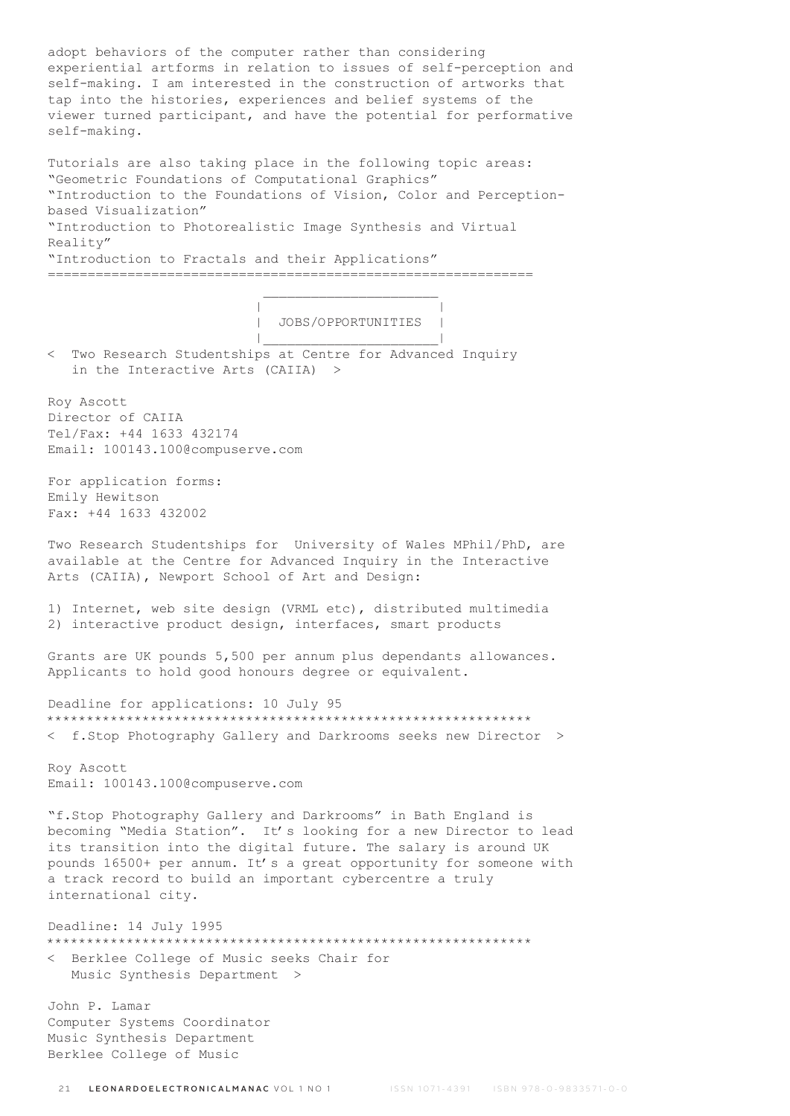adopt behaviors of the computer rather than considering experiential artforms in relation to issues of self-perception and self-making. I am interested in the construction of artworks that tap into the histories, experiences and belief systems of the viewer turned participant, and have the potential for performative self-making.

Tutorials are also taking place in the following topic areas: "Geometric Foundations of Computational Graphics" "Introduction to the Foundations of Vision, Color and Perceptionbased Visualization" "Introduction to Photorealistic Image Synthesis and Virtual Reality" "Introduction to Fractals and their Applications"

 | | | JOBS/OPPORTUNITIES | |\_\_\_\_\_\_\_\_\_\_\_\_\_\_\_\_\_\_\_\_\_\_|

< Two Research Studentships at Centre for Advanced Inquiry in the Interactive Arts (CAIIA) >

=============================================================

 $\mathcal{L}_\text{max}$  and  $\mathcal{L}_\text{max}$  and  $\mathcal{L}_\text{max}$  and  $\mathcal{L}_\text{max}$ 

Roy Ascott Director of CAIIA Tel/Fax: +44 1633 432174 Email: 100143.100@compuserve.com

For application forms: Emily Hewitson Fax: +44 1633 432002

Two Research Studentships for University of Wales MPhil/PhD, are available at the Centre for Advanced Inquiry in the Interactive Arts (CAIIA), Newport School of Art and Design:

1) Internet, web site design (VRML etc), distributed multimedia 2) interactive product design, interfaces, smart products

Grants are UK pounds 5,500 per annum plus dependants allowances. Applicants to hold good honours degree or equivalent.

Deadline for applications: 10 July 95 \*\*\*\*\*\*\*\*\*\*\*\*\*\*\*\*\*\*\*\*\*\*\*\*\*\*\*\*\*\*\*\*\*\*\*\*\*\*\*\*\*\*\*\*\*\*\*\*\*\*\*\*\*\*\*\*\*\*\*\*\* < f.Stop Photography Gallery and Darkrooms seeks new Director >

Roy Ascott Email: 100143.100@compuserve.com

"f.Stop Photography Gallery and Darkrooms" in Bath England is becoming "Media Station". It's looking for a new Director to lead its transition into the digital future. The salary is around UK pounds 16500+ per annum. It's a great opportunity for someone with a track record to build an important cybercentre a truly international city.

Deadline: 14 July 1995 \*\*\*\*\*\*\*\*\*\*\*\*\*\*\*\*\*\*\*\*\*\*\*\*\*\*\*\*\*\*\*\*\*\*\*\*\*\*\*\*\*\*\*\*\*\*\*\*\*\*\*\*\*\*\*\*\*\*\*\*\* < Berklee College of Music seeks Chair for Music Synthesis Department >

John P. Lamar Computer Systems Coordinator Music Synthesis Department Berklee College of Music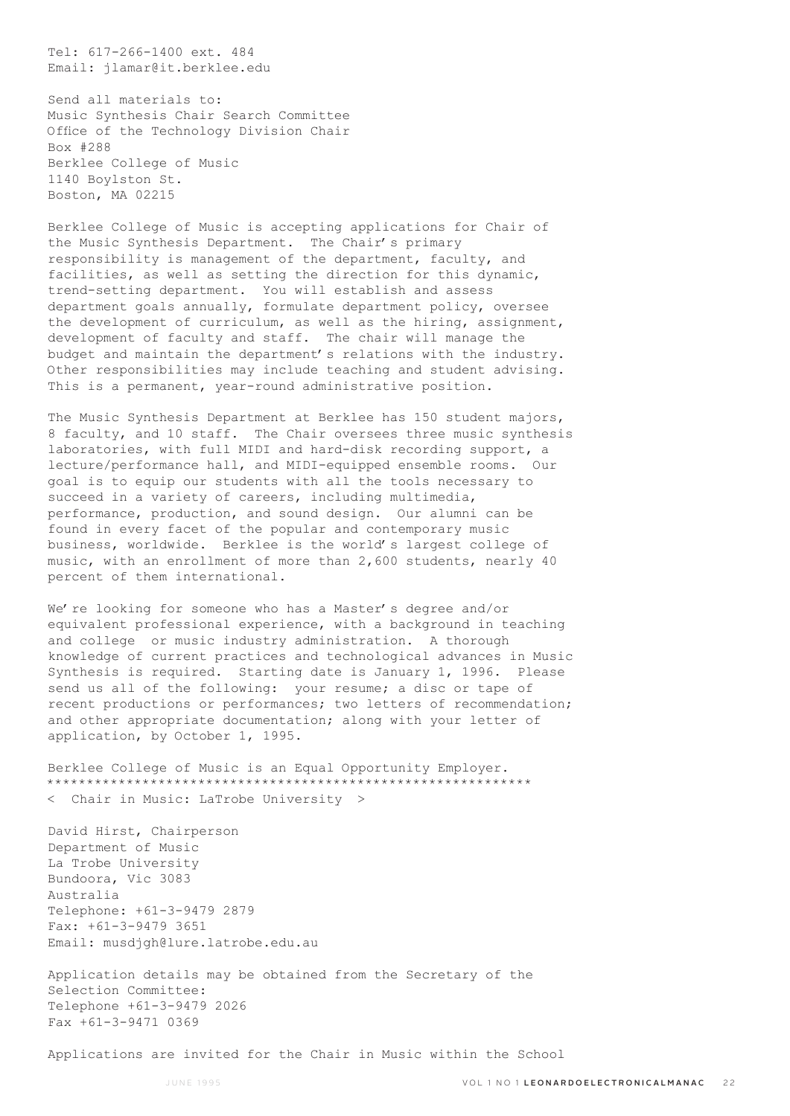Tel: 617-266-1400 ext. 484 Email: jlamar@it.berklee.edu

Send all materials to: Music Synthesis Chair Search Committee Office of the Technology Division Chair Box #288 Berklee College of Music 1140 Boylston St. Boston, MA 02215

Berklee College of Music is accepting applications for Chair of the Music Synthesis Department. The Chair's primary responsibility is management of the department, faculty, and facilities, as well as setting the direction for this dynamic, trend-setting department. You will establish and assess department goals annually, formulate department policy, oversee the development of curriculum, as well as the hiring, assignment, development of faculty and staff. The chair will manage the budget and maintain the department's relations with the industry. Other responsibilities may include teaching and student advising. This is a permanent, year-round administrative position.

The Music Synthesis Department at Berklee has 150 student majors, 8 faculty, and 10 staff. The Chair oversees three music synthesis laboratories, with full MIDI and hard-disk recording support, a lecture/performance hall, and MIDI-equipped ensemble rooms. Our goal is to equip our students with all the tools necessary to succeed in a variety of careers, including multimedia, performance, production, and sound design. Our alumni can be found in every facet of the popular and contemporary music business, worldwide. Berklee is the world's largest college of music, with an enrollment of more than 2,600 students, nearly 40 percent of them international.

We're looking for someone who has a Master's degree and/or equivalent professional experience, with a background in teaching and college or music industry administration. A thorough knowledge of current practices and technological advances in Music Synthesis is required. Starting date is January 1, 1996. Please send us all of the following: your resume; a disc or tape of recent productions or performances; two letters of recommendation; and other appropriate documentation; along with your letter of application, by October 1, 1995.

Berklee College of Music is an Equal Opportunity Employer. \*\*\*\*\*\*\*\*\*\*\*\*\*\*\*\*\*\*\*\*\*\*\*\*\*\*\*\*\*\*\*\*\*\*\*\*\*\*\*\*\*\*\*\*\*\*\*\*\*\*\*\*\*\*\*\*\*\*\*\*\* < Chair in Music: LaTrobe University >

David Hirst, Chairperson Department of Music La Trobe University Bundoora, Vic 3083 Australia Telephone: +61-3-9479 2879 Fax: +61-3-9479 3651 Email: musdjgh@lure.latrobe.edu.au

Application details may be obtained from the Secretary of the Selection Committee: Telephone +61-3-9479 2026 Fax +61-3-9471 0369

Applications are invited for the Chair in Music within the School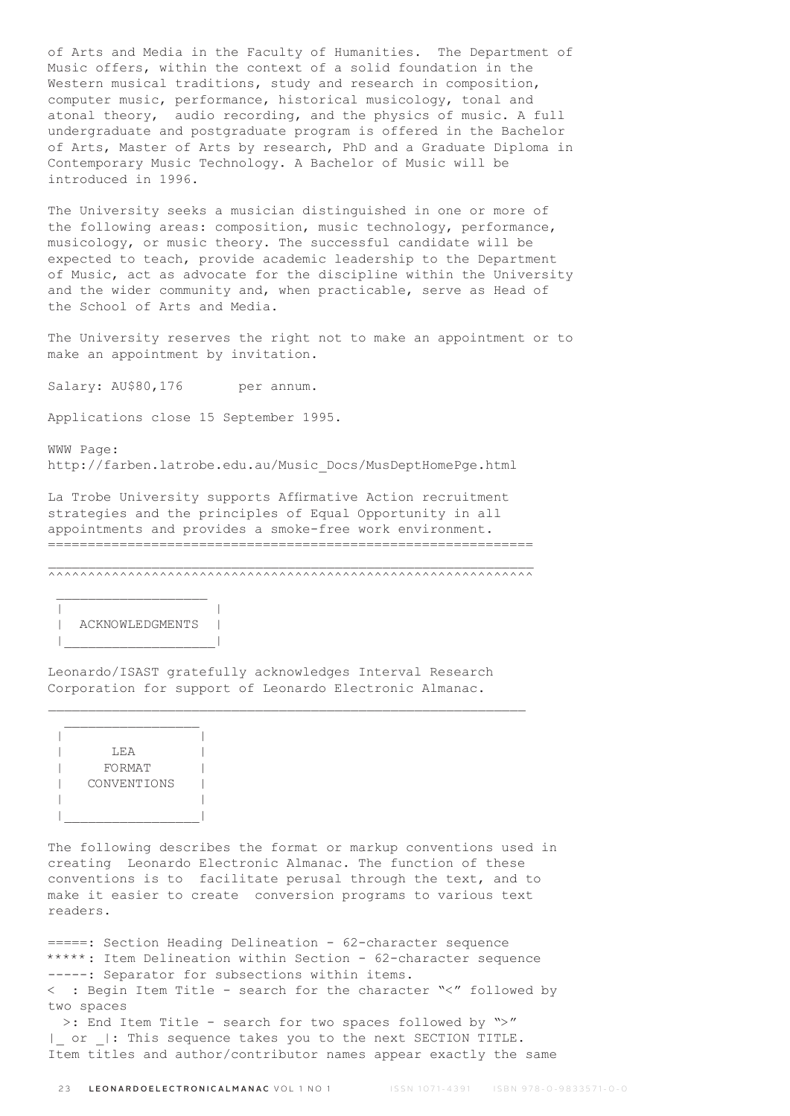of Arts and Media in the Faculty of Humanities. The Department of Music offers, within the context of a solid foundation in the Western musical traditions, study and research in composition, computer music, performance, historical musicology, tonal and atonal theory, audio recording, and the physics of music. A full undergraduate and postgraduate program is offered in the Bachelor of Arts, Master of Arts by research, PhD and a Graduate Diploma in Contemporary Music Technology. A Bachelor of Music will be introduced in 1996.

The University seeks a musician distinguished in one or more of the following areas: composition, music technology, performance, musicology, or music theory. The successful candidate will be expected to teach, provide academic leadership to the Department of Music, act as advocate for the discipline within the University and the wider community and, when practicable, serve as Head of the School of Arts and Media.

The University reserves the right not to make an appointment or to make an appointment by invitation.

Salary: AU\$80,176 per annum.

Applications close 15 September 1995.

WWW Page: http://farben.latrobe.edu.au/Music\_Docs/MusDeptHomePge.html

La Trobe University supports Affirmative Action recruitment strategies and the principles of Equal Opportunity in all appointments and provides a smoke-free work environment. =============================================================

 $\mathcal{L}_\text{max}$ ^^^^^^^^^^^^^^^^^^^^^^^^^^^^^^^^^^^^^^^^^^^^^^^^^^^^^^^^^^^^^



 $\mathcal{L}_\text{max}$ 

Leonardo/ISAST gratefully acknowledges Interval Research Corporation for support of Leonardo Electronic Almanac.

 $\mathcal{L}_\text{max}$ 

 $\mathcal{L}_\text{max}$  | | | LEA | | FORMAT | | CONVENTIONS | | | |\_\_\_\_\_\_\_\_\_\_\_\_\_\_\_\_\_|

The following describes the format or markup conventions used in creating Leonardo Electronic Almanac. The function of these conventions is to facilitate perusal through the text, and to make it easier to create conversion programs to various text readers.

=====: Section Heading Delineation - 62-character sequence \*\*\*\*\*: Item Delineation within Section - 62-character sequence -----: Separator for subsections within items. < : Begin Item Title - search for the character "<" followed by two spaces

 >: End Item Title - search for two spaces followed by ">" or |: This sequence takes you to the next SECTION TITLE. Item titles and author/contributor names appear exactly the same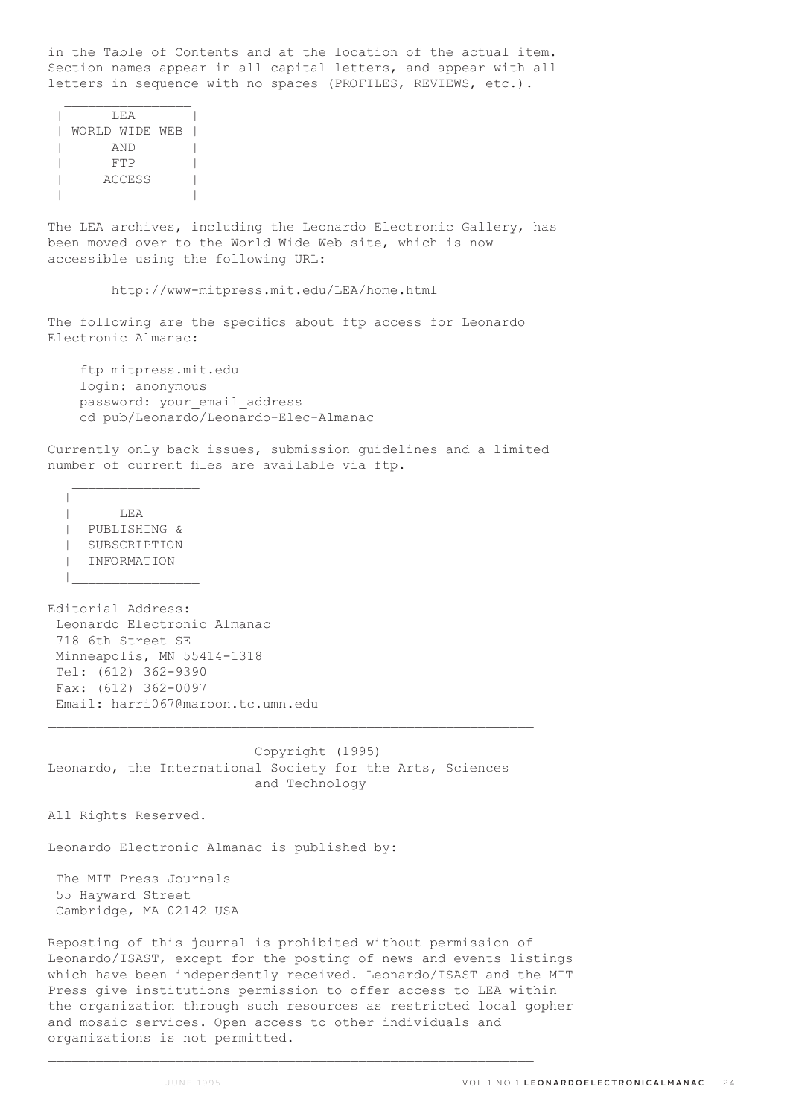in the Table of Contents and at the location of the actual item. Section names appear in all capital letters, and appear with all letters in sequence with no spaces (PROFILES, REVIEWS, etc.).

| T.F.A          |  |
|----------------|--|
| WORLD WIDE WEB |  |
| AND            |  |
| FTP            |  |
| ACCESS         |  |
|                |  |

The LEA archives, including the Leonardo Electronic Gallery, has been moved over to the World Wide Web site, which is now accessible using the following URL:

http://www-mitpress.mit.edu/LEA/home.html

The following are the specifics about ftp access for Leonardo Electronic Almanac:

 ftp mitpress.mit.edu login: anonymous password: your email address cd pub/Leonardo/Leonardo-Elec-Almanac

Currently only back issues, submission guidelines and a limited number of current files are available via ftp.

 | | | LEA | | PUBLISHING & | | SUBSCRIPTION | | INFORMATION | |\_\_\_\_\_\_\_\_\_\_\_\_\_\_\_\_|

 $\mathcal{L}_\text{max}$ 

Editorial Address: Leonardo Electronic Almanac 718 6th Street SE Minneapolis, MN 55414-1318 Tel: (612) 362-9390 Fax: (612) 362-0097 Email: harri067@maroon.tc.umn.edu

 Copyright (1995) Leonardo, the International Society for the Arts, Sciences and Technology

 $\mathcal{L}_\text{max}$ 

All Rights Reserved.

Leonardo Electronic Almanac is published by:

 The MIT Press Journals 55 Hayward Street Cambridge, MA 02142 USA

Reposting of this journal is prohibited without permission of Leonardo/ISAST, except for the posting of news and events listings which have been independently received. Leonardo/ISAST and the MIT Press give institutions permission to offer access to LEA within the organization through such resources as restricted local gopher and mosaic services. Open access to other individuals and organizations is not permitted.